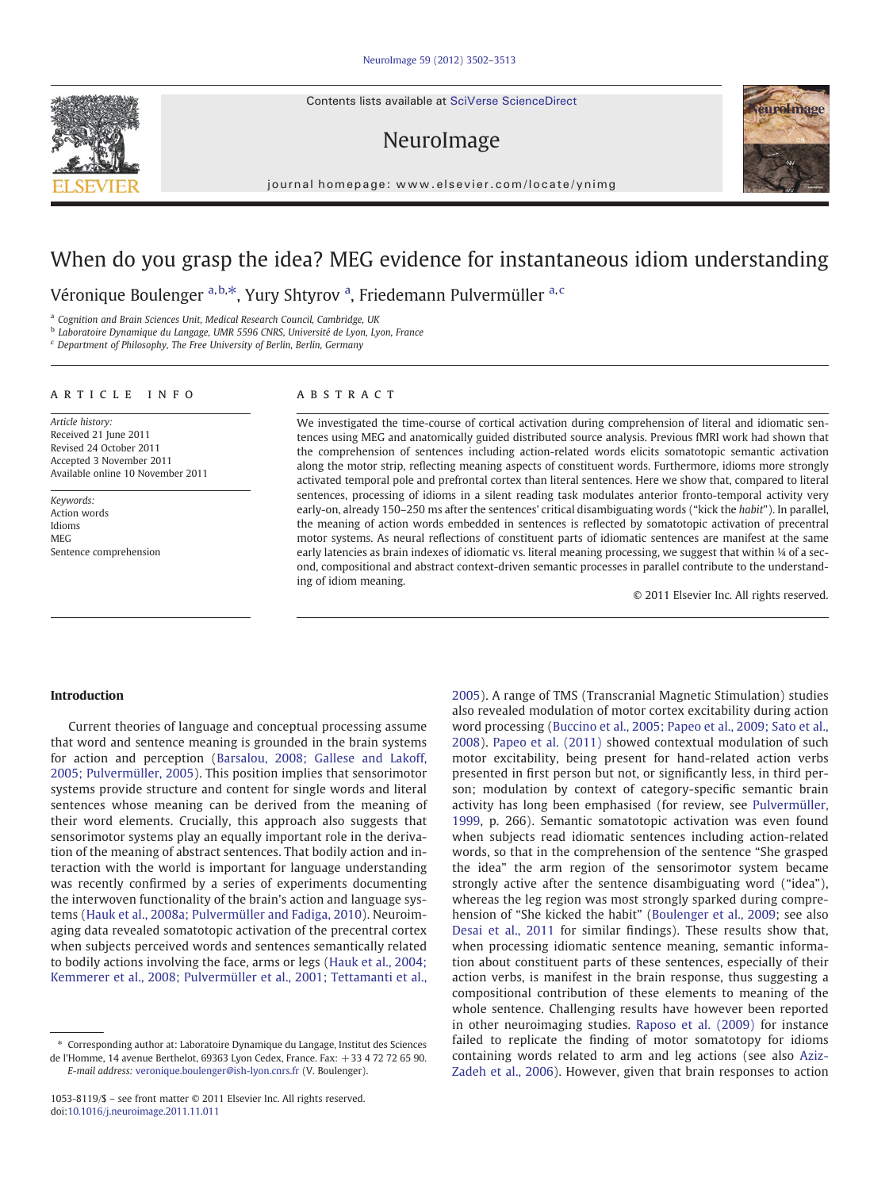Contents lists available at SciVerse ScienceDirect



# NeuroImage



journal homepage: www.elsevier.com/locate/ynimg

# When do you grasp the idea? MEG evidence for instantaneous idiom understanding

Véronique Boulenger <sup>a,b,\*</sup>, Yury Shtyrov <sup>a</sup>, Friedemann Pulvermüller <sup>a,c</sup>

a Cognition and Brain Sciences Unit, Medical Research Council, Cambridge, UK

<sup>b</sup> Laboratoire Dynamique du Langage, UMR 5596 CNRS, Université de Lyon, Lyon, France

<sup>c</sup> Department of Philosophy, The Free University of Berlin, Berlin, Germany

# article info abstract

Article history: Received 21 June 2011 Revised 24 October 2011 Accepted 3 November 2011 Available online 10 November 2011

Keywords: Action words Idioms MEG Sentence comprehension

We investigated the time-course of cortical activation during comprehension of literal and idiomatic sentences using MEG and anatomically guided distributed source analysis. Previous fMRI work had shown that the comprehension of sentences including action-related words elicits somatotopic semantic activation along the motor strip, reflecting meaning aspects of constituent words. Furthermore, idioms more strongly activated temporal pole and prefrontal cortex than literal sentences. Here we show that, compared to literal sentences, processing of idioms in a silent reading task modulates anterior fronto-temporal activity very early-on, already 150–250 ms after the sentences' critical disambiguating words ("kick the habit"). In parallel, the meaning of action words embedded in sentences is reflected by somatotopic activation of precentral motor systems. As neural reflections of constituent parts of idiomatic sentences are manifest at the same early latencies as brain indexes of idiomatic vs. literal meaning processing, we suggest that within ¼ of a second, compositional and abstract context-driven semantic processes in parallel contribute to the understanding of idiom meaning.

© 2011 Elsevier Inc. All rights reserved.

# Introduction

Current theories of language and conceptual processing assume that word and sentence meaning is grounded in the brain systems for action and perception ([Barsalou, 2008; Gallese and Lakoff,](#page-10-0) [2005; Pulvermüller, 2005](#page-10-0)). This position implies that sensorimotor systems provide structure and content for single words and literal sentences whose meaning can be derived from the meaning of their word elements. Crucially, this approach also suggests that sensorimotor systems play an equally important role in the derivation of the meaning of abstract sentences. That bodily action and interaction with the world is important for language understanding was recently confirmed by a series of experiments documenting the interwoven functionality of the brain's action and language systems ([Hauk et al., 2008a; Pulvermüller and Fadiga, 2010](#page-10-0)). Neuroimaging data revealed somatotopic activation of the precentral cortex when subjects perceived words and sentences semantically related to bodily actions involving the face, arms or legs ([Hauk et al., 2004;](#page-10-0) [Kemmerer et al., 2008; Pulvermüller et al., 2001; Tettamanti et al.,](#page-10-0)

⁎ Corresponding author at: Laboratoire Dynamique du Langage, Institut des Sciences de l'Homme, 14 avenue Berthelot, 69363 Lyon Cedex, France. Fax: +33 4 72 72 65 90. E-mail address: [veronique.boulenger@ish-lyon.cnrs.fr](mailto:veronique.boulenger@ish-lyon.cnrs.fr) (V. Boulenger).

[2005](#page-10-0)). A range of TMS (Transcranial Magnetic Stimulation) studies also revealed modulation of motor cortex excitability during action word processing ([Buccino et al., 2005; Papeo et al., 2009; Sato et al.,](#page-10-0) [2008](#page-10-0)). [Papeo et al. \(2011\)](#page-11-0) showed contextual modulation of such motor excitability, being present for hand-related action verbs presented in first person but not, or significantly less, in third person; modulation by context of category-specific semantic brain activity has long been emphasised (for review, see [Pulvermüller,](#page-11-0) [1999](#page-11-0), p. 266). Semantic somatotopic activation was even found when subjects read idiomatic sentences including action-related words, so that in the comprehension of the sentence "She grasped the idea" the arm region of the sensorimotor system became strongly active after the sentence disambiguating word ("idea"), whereas the leg region was most strongly sparked during comprehension of "She kicked the habit" ([Boulenger et al., 2009;](#page-10-0) see also [Desai et al., 2011](#page-10-0) for similar findings). These results show that, when processing idiomatic sentence meaning, semantic information about constituent parts of these sentences, especially of their action verbs, is manifest in the brain response, thus suggesting a compositional contribution of these elements to meaning of the whole sentence. Challenging results have however been reported in other neuroimaging studies. [Raposo et al. \(2009\)](#page-11-0) for instance failed to replicate the finding of motor somatotopy for idioms containing words related to arm and leg actions (see also [Aziz-](#page-10-0)[Zadeh et al., 2006](#page-10-0)). However, given that brain responses to action

<sup>1053-8119/\$</sup> – see front matter © 2011 Elsevier Inc. All rights reserved. doi[:10.1016/j.neuroimage.2011.11.011](http://dx.doi.org/10.1016/j.neuroimage.2011.11.011)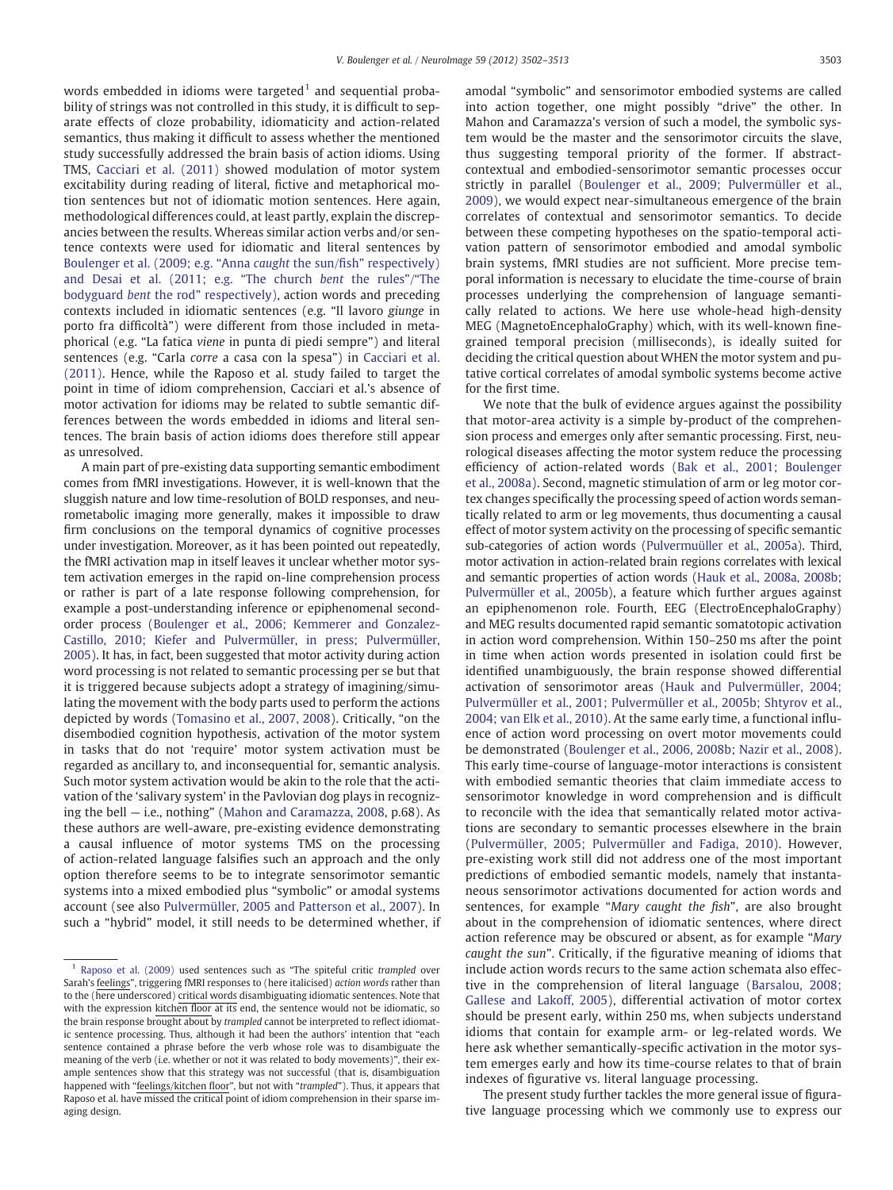words embedded in idioms were targeted<sup>1</sup> and sequential probability of strings was not controlled in this study, it is difficult to separate effects of cloze probability, idiomaticity and action-related semantics, thus making it difficult to assess whether the mentioned study successfully addressed the brain basis of action idioms. Using TMS, [Cacciari et al. \(2011\)](#page-10-0) showed modulation of motor system excitability during reading of literal, fictive and metaphorical motion sentences but not of idiomatic motion sentences. Here again, methodological differences could, at least partly, explain the discrepancies between the results. Whereas similar action verbs and/or sentence contexts were used for idiomatic and literal sentences by [Boulenger et al. \(2009; e.g.](#page-10-0) "Anna caught the sun/fish" respectively) [and Desai et al. \(2011; e.g.](#page-10-0) "The church bent the rules"/"The bodyguard bent the rod" [respectively\),](#page-10-0) action words and preceding contexts included in idiomatic sentences (e.g. "Il lavoro giunge in porto fra difficoltà") were different from those included in metaphorical (e.g. "La fatica viene in punta di piedi sempre") and literal sentences (e.g. "Carla corre a casa con la spesa") in [Cacciari et al.](#page-10-0) [\(2011\)](#page-10-0). Hence, while the Raposo et al. study failed to target the point in time of idiom comprehension, Cacciari et al.'s absence of motor activation for idioms may be related to subtle semantic differences between the words embedded in idioms and literal sentences. The brain basis of action idioms does therefore still appear as unresolved.

A main part of pre-existing data supporting semantic embodiment comes from fMRI investigations. However, it is well-known that the sluggish nature and low time-resolution of BOLD responses, and neurometabolic imaging more generally, makes it impossible to draw firm conclusions on the temporal dynamics of cognitive processes under investigation. Moreover, as it has been pointed out repeatedly, the fMRI activation map in itself leaves it unclear whether motor system activation emerges in the rapid on-line comprehension process or rather is part of a late response following comprehension, for example a post-understanding inference or epiphenomenal secondorder process [\(Boulenger et al., 2006; Kemmerer and Gonzalez-](#page-10-0)[Castillo, 2010; Kiefer and Pulvermüller, in press; Pulvermüller,](#page-10-0) [2005\)](#page-10-0). It has, in fact, been suggested that motor activity during action word processing is not related to semantic processing per se but that it is triggered because subjects adopt a strategy of imagining/simulating the movement with the body parts used to perform the actions depicted by words ([Tomasino et al., 2007, 2008\)](#page-11-0). Critically, "on the disembodied cognition hypothesis, activation of the motor system in tasks that do not 'require' motor system activation must be regarded as ancillary to, and inconsequential for, semantic analysis. Such motor system activation would be akin to the role that the activation of the 'salivary system' in the Pavlovian dog plays in recognizing the bell  $-$  i.e., nothing" [\(Mahon and Caramazza, 2008,](#page-10-0) p.68). As these authors are well-aware, pre-existing evidence demonstrating a causal influence of motor systems TMS on the processing of action-related language falsifies such an approach and the only option therefore seems to be to integrate sensorimotor semantic systems into a mixed embodied plus "symbolic" or amodal systems account (see also [Pulvermüller, 2005 and Patterson et al., 2007](#page-11-0)). In such a "hybrid" model, it still needs to be determined whether, if amodal "symbolic" and sensorimotor embodied systems are called into action together, one might possibly "drive" the other. In Mahon and Caramazza's version of such a model, the symbolic system would be the master and the sensorimotor circuits the slave, thus suggesting temporal priority of the former. If abstractcontextual and embodied-sensorimotor semantic processes occur strictly in parallel ([Boulenger et al., 2009; Pulvermüller et al.,](#page-10-0) [2009](#page-10-0)), we would expect near-simultaneous emergence of the brain correlates of contextual and sensorimotor semantics. To decide between these competing hypotheses on the spatio-temporal activation pattern of sensorimotor embodied and amodal symbolic brain systems, fMRI studies are not sufficient. More precise temporal information is necessary to elucidate the time-course of brain processes underlying the comprehension of language semantically related to actions. We here use whole-head high-density MEG (MagnetoEncephaloGraphy) which, with its well-known finegrained temporal precision (milliseconds), is ideally suited for deciding the critical question about WHEN the motor system and putative cortical correlates of amodal symbolic systems become active for the first time.

We note that the bulk of evidence argues against the possibility that motor-area activity is a simple by-product of the comprehension process and emerges only after semantic processing. First, neurological diseases affecting the motor system reduce the processing efficiency of action-related words ([Bak et al., 2001; Boulenger](#page-10-0) [et al., 2008a\)](#page-10-0). Second, magnetic stimulation of arm or leg motor cortex changes specifically the processing speed of action words semantically related to arm or leg movements, thus documenting a causal effect of motor system activity on the processing of specific semantic sub-categories of action words [\(Pulvermuüller et al., 2005a\)](#page-11-0). Third, motor activation in action-related brain regions correlates with lexical and semantic properties of action words [\(Hauk et al., 2008a, 2008b;](#page-10-0) [Pulvermüller et al., 2005b\)](#page-10-0), a feature which further argues against an epiphenomenon role. Fourth, EEG (ElectroEncephaloGraphy) and MEG results documented rapid semantic somatotopic activation in action word comprehension. Within 150–250 ms after the point in time when action words presented in isolation could first be identified unambiguously, the brain response showed differential activation of sensorimotor areas ([Hauk and Pulvermüller, 2004;](#page-10-0) [Pulvermüller et al., 2001; Pulvermüller et al., 2005b; Shtyrov et al.,](#page-10-0) [2004; van Elk et al., 2010](#page-10-0)). At the same early time, a functional influence of action word processing on overt motor movements could be demonstrated ([Boulenger et al., 2006, 2008b; Nazir et al., 2008](#page-10-0)). This early time-course of language-motor interactions is consistent with embodied semantic theories that claim immediate access to sensorimotor knowledge in word comprehension and is difficult to reconcile with the idea that semantically related motor activations are secondary to semantic processes elsewhere in the brain [\(Pulvermüller, 2005; Pulvermüller and Fadiga, 2010\)](#page-11-0). However, pre-existing work still did not address one of the most important predictions of embodied semantic models, namely that instantaneous sensorimotor activations documented for action words and sentences, for example "Mary caught the fish", are also brought about in the comprehension of idiomatic sentences, where direct action reference may be obscured or absent, as for example "Mary caught the sun". Critically, if the figurative meaning of idioms that include action words recurs to the same action schemata also effective in the comprehension of literal language ([Barsalou, 2008;](#page-10-0) [Gallese and Lakoff, 2005\)](#page-10-0), differential activation of motor cortex should be present early, within 250 ms, when subjects understand idioms that contain for example arm- or leg-related words. We here ask whether semantically-specific activation in the motor system emerges early and how its time-course relates to that of brain indexes of figurative vs. literal language processing.

The present study further tackles the more general issue of figurative language processing which we commonly use to express our

<sup>&</sup>lt;sup>1</sup> [Raposo et al. \(2009\)](#page-11-0) used sentences such as "The spiteful critic trampled over Sarah's feelings", triggering fMRI responses to (here italicised) action words rather than to the (here underscored) critical words disambiguating idiomatic sentences. Note that with the expression kitchen floor at its end, the sentence would not be idiomatic, so the brain response brought about by trampled cannot be interpreted to reflect idiomatic sentence processing. Thus, although it had been the authors' intention that "each sentence contained a phrase before the verb whose role was to disambiguate the meaning of the verb (i.e. whether or not it was related to body movements)", their example sentences show that this strategy was not successful (that is, disambiguation happened with "feelings/kitchen floor", but not with "trampled"). Thus, it appears that Raposo et al. have missed the critical point of idiom comprehension in their sparse imaging design.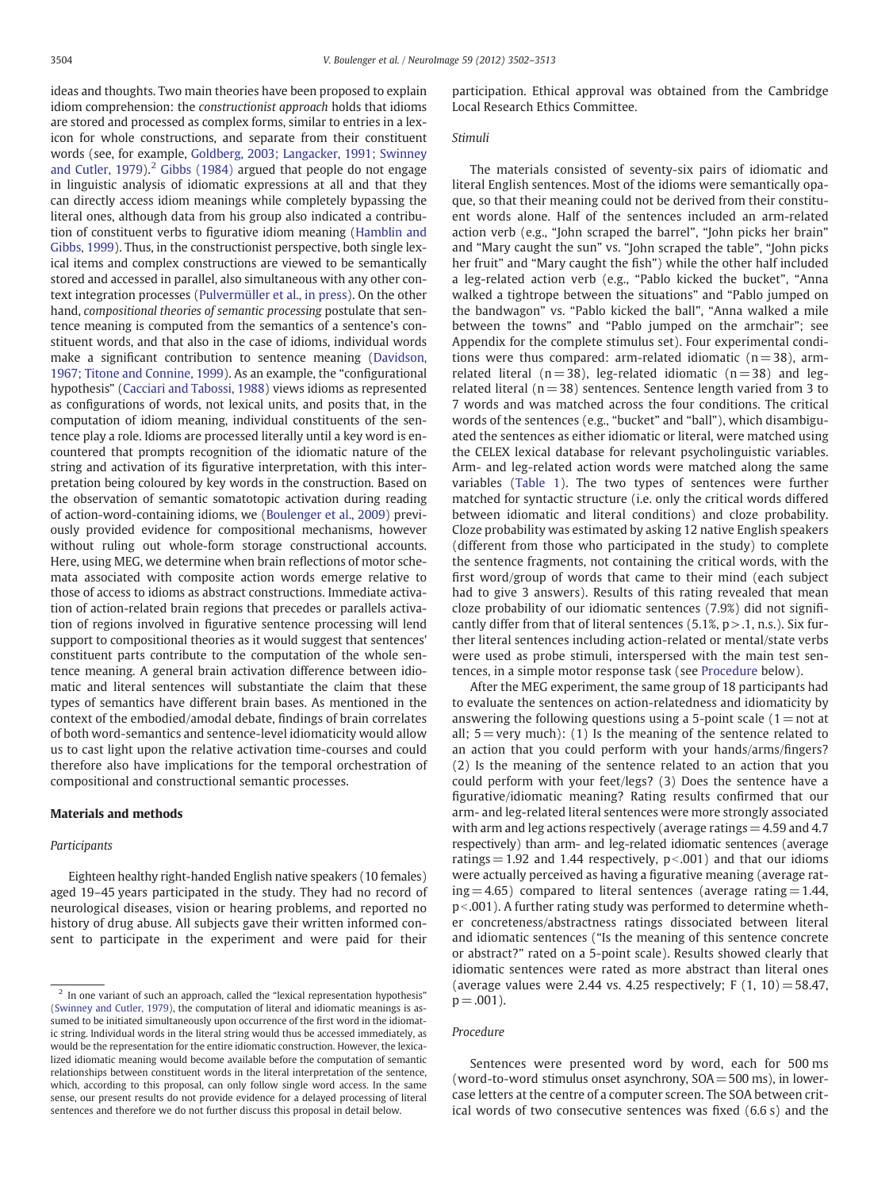<span id="page-2-0"></span>ideas and thoughts. Two main theories have been proposed to explain idiom comprehension: the constructionist approach holds that idioms are stored and processed as complex forms, similar to entries in a lexicon for whole constructions, and separate from their constituent words (see, for example, [Goldberg, 2003; Langacker, 1991; Swinney](#page-10-0) and Cutler,  $1979$ ).<sup>2</sup> [Gibbs \(1984\)](#page-10-0) argued that people do not engage in linguistic analysis of idiomatic expressions at all and that they can directly access idiom meanings while completely bypassing the literal ones, although data from his group also indicated a contribution of constituent verbs to figurative idiom meaning [\(Hamblin and](#page-10-0) [Gibbs, 1999](#page-10-0)). Thus, in the constructionist perspective, both single lexical items and complex constructions are viewed to be semantically stored and accessed in parallel, also simultaneous with any other context integration processes ([Pulvermüller et al., in press\)](#page-11-0). On the other hand, compositional theories of semantic processing postulate that sentence meaning is computed from the semantics of a sentence's constituent words, and that also in the case of idioms, individual words make a significant contribution to sentence meaning [\(Davidson,](#page-10-0) [1967; Titone and Connine, 1999](#page-10-0)). As an example, the "configurational hypothesis" [\(Cacciari and Tabossi, 1988\)](#page-10-0) views idioms as represented as configurations of words, not lexical units, and posits that, in the computation of idiom meaning, individual constituents of the sentence play a role. Idioms are processed literally until a key word is encountered that prompts recognition of the idiomatic nature of the string and activation of its figurative interpretation, with this interpretation being coloured by key words in the construction. Based on the observation of semantic somatotopic activation during reading of action-word-containing idioms, we ([Boulenger et al., 2009\)](#page-10-0) previously provided evidence for compositional mechanisms, however without ruling out whole-form storage constructional accounts. Here, using MEG, we determine when brain reflections of motor schemata associated with composite action words emerge relative to those of access to idioms as abstract constructions. Immediate activation of action-related brain regions that precedes or parallels activation of regions involved in figurative sentence processing will lend support to compositional theories as it would suggest that sentences' constituent parts contribute to the computation of the whole sentence meaning. A general brain activation difference between idiomatic and literal sentences will substantiate the claim that these types of semantics have different brain bases. As mentioned in the context of the embodied/amodal debate, findings of brain correlates of both word-semantics and sentence-level idiomaticity would allow us to cast light upon the relative activation time-courses and could therefore also have implications for the temporal orchestration of compositional and constructional semantic processes.

#### Materials and methods

# Participants

Eighteen healthy right-handed English native speakers (10 females) aged 19–45 years participated in the study. They had no record of neurological diseases, vision or hearing problems, and reported no history of drug abuse. All subjects gave their written informed consent to participate in the experiment and were paid for their

participation. Ethical approval was obtained from the Cambridge Local Research Ethics Committee.

## Stimuli

The materials consisted of seventy-six pairs of idiomatic and literal English sentences. Most of the idioms were semantically opaque, so that their meaning could not be derived from their constituent words alone. Half of the sentences included an arm-related action verb (e.g., "John scraped the barrel", "John picks her brain" and "Mary caught the sun" vs. "John scraped the table", "John picks her fruit" and "Mary caught the fish") while the other half included a leg-related action verb (e.g., "Pablo kicked the bucket", "Anna walked a tightrope between the situations" and "Pablo jumped on the bandwagon" vs. "Pablo kicked the ball", "Anna walked a mile between the towns" and "Pablo jumped on the armchair"; see Appendix for the complete stimulus set). Four experimental conditions were thus compared: arm-related idiomatic  $(n=38)$ , armrelated literal ( $n= 38$ ), leg-related idiomatic ( $n= 38$ ) and legrelated literal ( $n = 38$ ) sentences. Sentence length varied from 3 to 7 words and was matched across the four conditions. The critical words of the sentences (e.g., "bucket" and "ball"), which disambiguated the sentences as either idiomatic or literal, were matched using the CELEX lexical database for relevant psycholinguistic variables. Arm- and leg-related action words were matched along the same variables ([Table 1\)](#page-3-0). The two types of sentences were further matched for syntactic structure (i.e. only the critical words differed between idiomatic and literal conditions) and cloze probability. Cloze probability was estimated by asking 12 native English speakers (different from those who participated in the study) to complete the sentence fragments, not containing the critical words, with the first word/group of words that came to their mind (each subject had to give 3 answers). Results of this rating revealed that mean cloze probability of our idiomatic sentences (7.9%) did not significantly differ from that of literal sentences  $(5.1\%, p > .1, n.s.).$  Six further literal sentences including action-related or mental/state verbs were used as probe stimuli, interspersed with the main test sentences, in a simple motor response task (see Procedure below).

After the MEG experiment, the same group of 18 participants had to evaluate the sentences on action-relatedness and idiomaticity by answering the following questions using a 5-point scale  $(1 = not at$ all;  $5 =$  very much): (1) Is the meaning of the sentence related to an action that you could perform with your hands/arms/fingers? (2) Is the meaning of the sentence related to an action that you could perform with your feet/legs? (3) Does the sentence have a figurative/idiomatic meaning? Rating results confirmed that our arm- and leg-related literal sentences were more strongly associated with arm and leg actions respectively (average ratings  $= 4.59$  and 4.7 respectively) than arm- and leg-related idiomatic sentences (average ratings = 1.92 and 1.44 respectively,  $p<0.001$ ) and that our idioms were actually perceived as having a figurative meaning (average rat $ing = 4.65$ ) compared to literal sentences (average rating = 1.44,  $p<.001$ ). A further rating study was performed to determine whether concreteness/abstractness ratings dissociated between literal and idiomatic sentences ("Is the meaning of this sentence concrete or abstract?" rated on a 5-point scale). Results showed clearly that idiomatic sentences were rated as more abstract than literal ones (average values were 2.44 vs. 4.25 respectively; F  $(1, 10) = 58.47$ ,  $p = .001$ ).

# Procedure

Sentences were presented word by word, each for 500 ms (word-to-word stimulus onset asynchrony,  $SOA = 500$  ms), in lowercase letters at the centre of a computer screen. The SOA between critical words of two consecutive sentences was fixed (6.6 s) and the

<sup>&</sup>lt;sup>2</sup> In one variant of such an approach, called the "lexical representation hypothesis" ([Swinney and Cutler, 1979\)](#page-11-0), the computation of literal and idiomatic meanings is assumed to be initiated simultaneously upon occurrence of the first word in the idiomatic string. Individual words in the literal string would thus be accessed immediately, as would be the representation for the entire idiomatic construction. However, the lexicalized idiomatic meaning would become available before the computation of semantic relationships between constituent words in the literal interpretation of the sentence, which, according to this proposal, can only follow single word access. In the same sense, our present results do not provide evidence for a delayed processing of literal sentences and therefore we do not further discuss this proposal in detail below.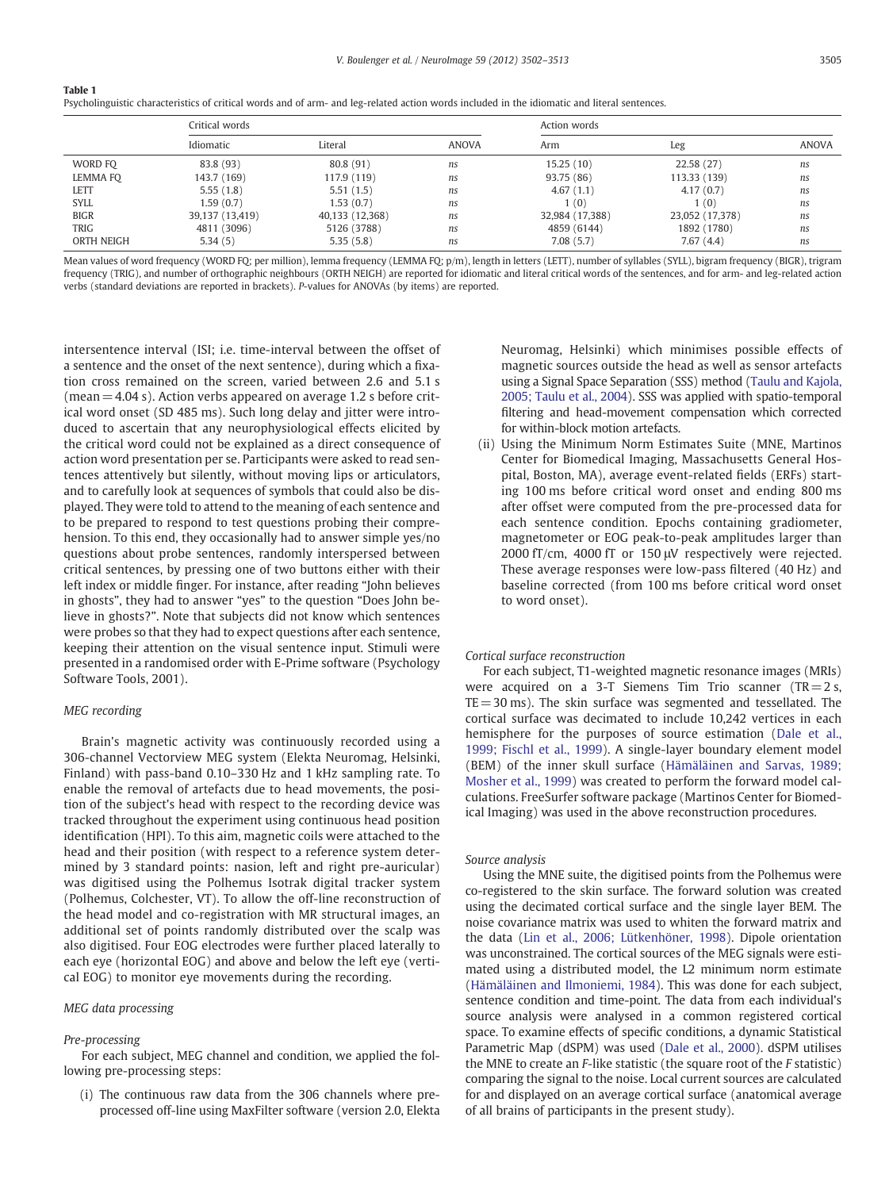<span id="page-3-0"></span>Table 1

|  |  | Psycholinguistic characteristics of critical words and of arm- and leg-related action words included in the idiomatic and literal sentences. |  |  |  |  |
|--|--|----------------------------------------------------------------------------------------------------------------------------------------------|--|--|--|--|
|--|--|----------------------------------------------------------------------------------------------------------------------------------------------|--|--|--|--|

|             | Critical words  |                 |              | Action words    |                 |              |
|-------------|-----------------|-----------------|--------------|-----------------|-----------------|--------------|
|             | Idiomatic       | Literal         | <b>ANOVA</b> | Arm             | Leg             | <b>ANOVA</b> |
| WORD FO     | 83.8 (93)       | 80.8 (91)       | ns           | 15.25(10)       | 22.58 (27)      | ns           |
| LEMMA FO    | 143.7 (169)     | 117.9 (119)     | ns           | 93.75 (86)      | 113.33 (139)    | ns           |
| LETT        | 5.55(1.8)       | 5.51(1.5)       | ns           | 4.67(1.1)       | 4.17(0.7)       | ns           |
| <b>SYLL</b> | 1.59(0.7)       | 1.53(0.7)       | ns           | 1(0)            | 1(0)            | ns           |
| <b>BIGR</b> | 39,137 (13,419) | 40,133 (12,368) | ns           | 32,984 (17,388) | 23,052 (17,378) | ns           |
| TRIG        | 4811 (3096)     | 5126 (3788)     | ns           | 4859 (6144)     | 1892 (1780)     | ns           |
| ORTH NEIGH  | 5.34(5)         | 5.35(5.8)       | ns           | 7.08(5.7)       | 7.67(4.4)       | ns           |

Mean values of word frequency (WORD FQ; per million), lemma frequency (LEMMA FQ; p/m), length in letters (LETT), number of syllables (SYLL), bigram frequency (BIGR), trigram frequency (TRIG), and number of orthographic neighbours (ORTH NEIGH) are reported for idiomatic and literal critical words of the sentences, and for arm- and leg-related action verbs (standard deviations are reported in brackets). P-values for ANOVAs (by items) are reported.

intersentence interval (ISI; i.e. time-interval between the offset of a sentence and the onset of the next sentence), during which a fixation cross remained on the screen, varied between 2.6 and 5.1 s (mean  $= 4.04$  s). Action verbs appeared on average 1.2 s before critical word onset (SD 485 ms). Such long delay and jitter were introduced to ascertain that any neurophysiological effects elicited by the critical word could not be explained as a direct consequence of action word presentation per se. Participants were asked to read sentences attentively but silently, without moving lips or articulators, and to carefully look at sequences of symbols that could also be displayed. They were told to attend to the meaning of each sentence and to be prepared to respond to test questions probing their comprehension. To this end, they occasionally had to answer simple yes/no questions about probe sentences, randomly interspersed between critical sentences, by pressing one of two buttons either with their left index or middle finger. For instance, after reading "John believes in ghosts", they had to answer "yes" to the question "Does John believe in ghosts?". Note that subjects did not know which sentences were probes so that they had to expect questions after each sentence, keeping their attention on the visual sentence input. Stimuli were presented in a randomised order with E-Prime software (Psychology Software Tools, 2001).

# MEG recording

Brain's magnetic activity was continuously recorded using a 306-channel Vectorview MEG system (Elekta Neuromag, Helsinki, Finland) with pass-band 0.10–330 Hz and 1 kHz sampling rate. To enable the removal of artefacts due to head movements, the position of the subject's head with respect to the recording device was tracked throughout the experiment using continuous head position identification (HPI). To this aim, magnetic coils were attached to the head and their position (with respect to a reference system determined by 3 standard points: nasion, left and right pre-auricular) was digitised using the Polhemus Isotrak digital tracker system (Polhemus, Colchester, VT). To allow the off-line reconstruction of the head model and co-registration with MR structural images, an additional set of points randomly distributed over the scalp was also digitised. Four EOG electrodes were further placed laterally to each eye (horizontal EOG) and above and below the left eye (vertical EOG) to monitor eye movements during the recording.

# MEG data processing

#### Pre-processing

For each subject, MEG channel and condition, we applied the following pre-processing steps:

(i) The continuous raw data from the 306 channels where preprocessed off-line using MaxFilter software (version 2.0, Elekta Neuromag, Helsinki) which minimises possible effects of magnetic sources outside the head as well as sensor artefacts using a Signal Space Separation (SSS) method ([Taulu and Kajola,](#page-11-0) [2005; Taulu et al., 2004\)](#page-11-0). SSS was applied with spatio-temporal filtering and head-movement compensation which corrected for within-block motion artefacts.

(ii) Using the Minimum Norm Estimates Suite (MNE, Martinos Center for Biomedical Imaging, Massachusetts General Hospital, Boston, MA), average event-related fields (ERFs) starting 100 ms before critical word onset and ending 800 ms after offset were computed from the pre-processed data for each sentence condition. Epochs containing gradiometer, magnetometer or EOG peak-to-peak amplitudes larger than 2000 fT/cm, 4000 fT or 150 μV respectively were rejected. These average responses were low-pass filtered (40 Hz) and baseline corrected (from 100 ms before critical word onset to word onset).

# Cortical surface reconstruction

For each subject, T1-weighted magnetic resonance images (MRIs) were acquired on a 3-T Siemens Tim Trio scanner (TR=  $2 \text{ s}$ ,  $TE = 30$  ms). The skin surface was segmented and tessellated. The cortical surface was decimated to include 10,242 vertices in each hemisphere for the purposes of source estimation [\(Dale et al.,](#page-10-0) [1999; Fischl et al., 1999\)](#page-10-0). A single-layer boundary element model (BEM) of the inner skull surface [\(Hämäläinen and Sarvas, 1989;](#page-10-0) [Mosher et al., 1999](#page-10-0)) was created to perform the forward model calculations. FreeSurfer software package (Martinos Center for Biomedical Imaging) was used in the above reconstruction procedures.

## Source analysis

Using the MNE suite, the digitised points from the Polhemus were co-registered to the skin surface. The forward solution was created using the decimated cortical surface and the single layer BEM. The noise covariance matrix was used to whiten the forward matrix and the data [\(Lin et al., 2006; Lütkenhöner, 1998](#page-10-0)). Dipole orientation was unconstrained. The cortical sources of the MEG signals were estimated using a distributed model, the L2 minimum norm estimate [\(Hämäläinen and Ilmoniemi, 1984](#page-10-0)). This was done for each subject, sentence condition and time-point. The data from each individual's source analysis were analysed in a common registered cortical space. To examine effects of specific conditions, a dynamic Statistical Parametric Map (dSPM) was used ([Dale et al., 2000\)](#page-10-0). dSPM utilises the MNE to create an F-like statistic (the square root of the F statistic) comparing the signal to the noise. Local current sources are calculated for and displayed on an average cortical surface (anatomical average of all brains of participants in the present study).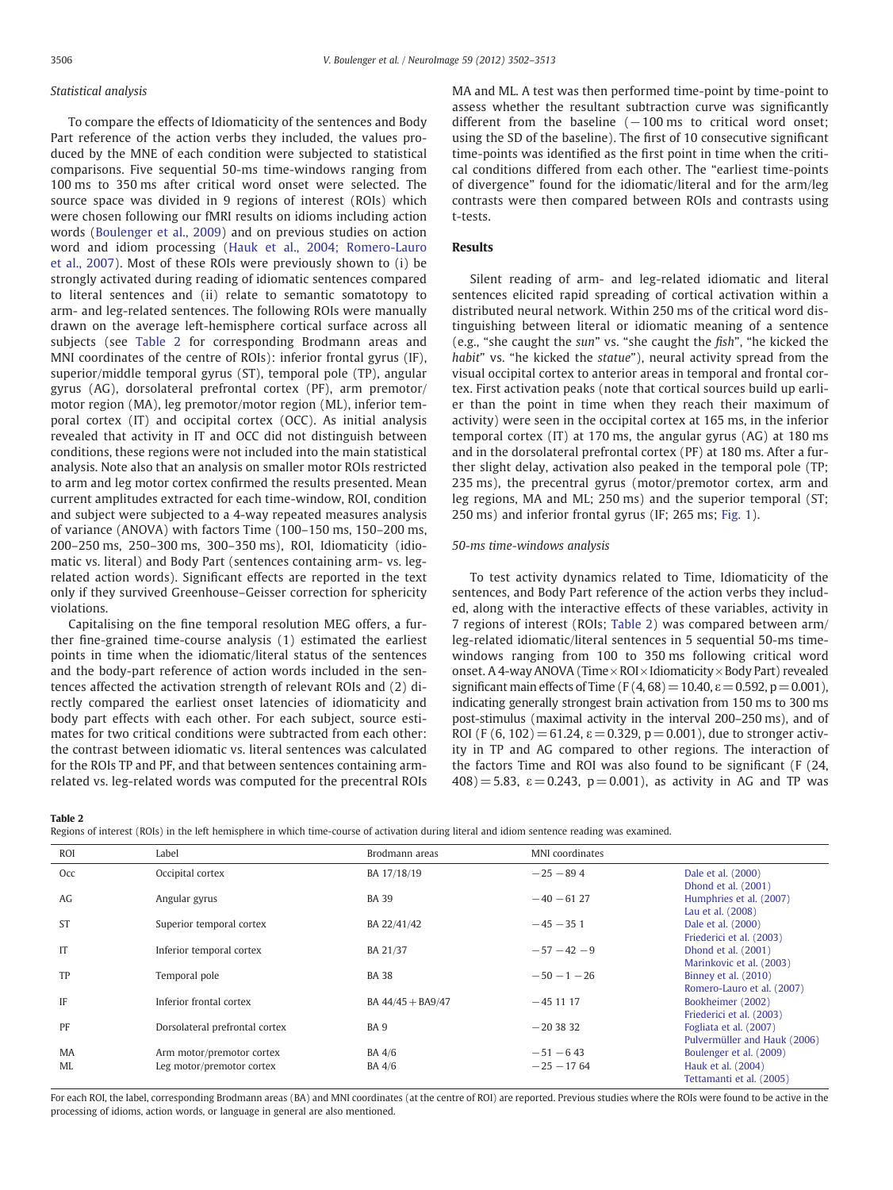# Statistical analysis

To compare the effects of Idiomaticity of the sentences and Body Part reference of the action verbs they included, the values produced by the MNE of each condition were subjected to statistical comparisons. Five sequential 50-ms time-windows ranging from 100 ms to 350 ms after critical word onset were selected. The source space was divided in 9 regions of interest (ROIs) which were chosen following our fMRI results on idioms including action words ([Boulenger et al., 2009\)](#page-10-0) and on previous studies on action word and idiom processing ([Hauk et al., 2004; Romero-Lauro](#page-10-0) [et al., 2007](#page-10-0)). Most of these ROIs were previously shown to (i) be strongly activated during reading of idiomatic sentences compared to literal sentences and (ii) relate to semantic somatotopy to arm- and leg-related sentences. The following ROIs were manually drawn on the average left-hemisphere cortical surface across all subjects (see Table 2 for corresponding Brodmann areas and MNI coordinates of the centre of ROIs): inferior frontal gyrus (IF), superior/middle temporal gyrus (ST), temporal pole (TP), angular gyrus (AG), dorsolateral prefrontal cortex (PF), arm premotor/ motor region (MA), leg premotor/motor region (ML), inferior temporal cortex (IT) and occipital cortex (OCC). As initial analysis revealed that activity in IT and OCC did not distinguish between conditions, these regions were not included into the main statistical analysis. Note also that an analysis on smaller motor ROIs restricted to arm and leg motor cortex confirmed the results presented. Mean current amplitudes extracted for each time-window, ROI, condition and subject were subjected to a 4-way repeated measures analysis of variance (ANOVA) with factors Time (100–150 ms, 150–200 ms, 200–250 ms, 250–300 ms, 300–350 ms), ROI, Idiomaticity (idiomatic vs. literal) and Body Part (sentences containing arm- vs. legrelated action words). Significant effects are reported in the text only if they survived Greenhouse–Geisser correction for sphericity violations.

Capitalising on the fine temporal resolution MEG offers, a further fine-grained time-course analysis (1) estimated the earliest points in time when the idiomatic/literal status of the sentences and the body-part reference of action words included in the sentences affected the activation strength of relevant ROIs and (2) directly compared the earliest onset latencies of idiomaticity and body part effects with each other. For each subject, source estimates for two critical conditions were subtracted from each other: the contrast between idiomatic vs. literal sentences was calculated for the ROIs TP and PF, and that between sentences containing armrelated vs. leg-related words was computed for the precentral ROIs MA and ML. A test was then performed time-point by time-point to assess whether the resultant subtraction curve was significantly different from the baseline  $(-100 \text{ ms}$  to critical word onset; using the SD of the baseline). The first of 10 consecutive significant time-points was identified as the first point in time when the critical conditions differed from each other. The "earliest time-points of divergence" found for the idiomatic/literal and for the arm/leg contrasts were then compared between ROIs and contrasts using t-tests.

# Results

Silent reading of arm- and leg-related idiomatic and literal sentences elicited rapid spreading of cortical activation within a distributed neural network. Within 250 ms of the critical word distinguishing between literal or idiomatic meaning of a sentence (e.g., "she caught the sun" vs. "she caught the fish", "he kicked the habit" vs. "he kicked the statue"), neural activity spread from the visual occipital cortex to anterior areas in temporal and frontal cortex. First activation peaks (note that cortical sources build up earlier than the point in time when they reach their maximum of activity) were seen in the occipital cortex at 165 ms, in the inferior temporal cortex (IT) at 170 ms, the angular gyrus (AG) at 180 ms and in the dorsolateral prefrontal cortex (PF) at 180 ms. After a further slight delay, activation also peaked in the temporal pole (TP; 235 ms), the precentral gyrus (motor/premotor cortex, arm and leg regions, MA and ML; 250 ms) and the superior temporal (ST; 250 ms) and inferior frontal gyrus (IF; 265 ms; [Fig. 1\)](#page-5-0).

# 50-ms time-windows analysis

To test activity dynamics related to Time, Idiomaticity of the sentences, and Body Part reference of the action verbs they included, along with the interactive effects of these variables, activity in 7 regions of interest (ROIs; Table 2) was compared between arm/ leg-related idiomatic/literal sentences in 5 sequential 50-ms timewindows ranging from 100 to 350 ms following critical word onset. A 4-way ANOVA (Time  $\times$  ROI $\times$  Idiomaticity  $\times$  Body Part) revealed significant main effects of Time (F (4, 68) = 10.40,  $\varepsilon$  = 0.592, p = 0.001), indicating generally strongest brain activation from 150 ms to 300 ms post-stimulus (maximal activity in the interval 200–250 ms), and of ROI (F (6, 102) = 61.24,  $\varepsilon$  = 0.329, p = 0.001), due to stronger activity in TP and AG compared to other regions. The interaction of the factors Time and ROI was also found to be significant (F (24,  $408$ ) = 5.83,  $\varepsilon$  = 0.243, p = 0.001), as activity in AG and TP was

Table 2

Regions of interest (ROIs) in the left hemisphere in which time-course of activation during literal and idiom sentence reading was examined.

| ROI       | Label                          | Brodmann areas    | MNI coordinates |                              |
|-----------|--------------------------------|-------------------|-----------------|------------------------------|
| Occ       | Occipital cortex               | BA 17/18/19       | $-25 - 894$     | Dale et al. (2000)           |
|           |                                |                   |                 | Dhond et al. (2001)          |
| AG        | Angular gyrus                  | <b>BA 39</b>      | $-40 - 6127$    | Humphries et al. (2007)      |
|           |                                |                   |                 | Lau et al. (2008)            |
| <b>ST</b> | Superior temporal cortex       | BA 22/41/42       | $-45 - 351$     | Dale et al. (2000)           |
|           |                                |                   |                 | Friederici et al. (2003)     |
| IT        | Inferior temporal cortex       | BA 21/37          | $-57 - 42 - 9$  | Dhond et al. (2001)          |
|           |                                |                   |                 | Marinkovic et al. (2003)     |
| TP        | Temporal pole                  | <b>BA38</b>       | $-50 - 1 - 26$  | Binney et al. (2010)         |
|           |                                |                   |                 | Romero-Lauro et al. (2007)   |
| IF        | Inferior frontal cortex        | BA 44/45 + BA9/47 | $-451117$       | Bookheimer (2002)            |
|           |                                |                   |                 | Friederici et al. (2003)     |
| PF        | Dorsolateral prefrontal cortex | <b>BA9</b>        | $-203832$       | Fogliata et al. (2007)       |
|           |                                |                   |                 | Pulvermüller and Hauk (2006) |
| <b>MA</b> | Arm motor/premotor cortex      | BA 4/6            | $-51 - 643$     | Boulenger et al. (2009)      |
| ML        | Leg motor/premotor cortex      | BA 4/6            | $-25 - 1764$    | Hauk et al. (2004)           |
|           |                                |                   |                 | Tettamanti et al. (2005)     |

For each ROI, the label, corresponding Brodmann areas (BA) and MNI coordinates (at the centre of ROI) are reported. Previous studies where the ROIs were found to be active in the processing of idioms, action words, or language in general are also mentioned.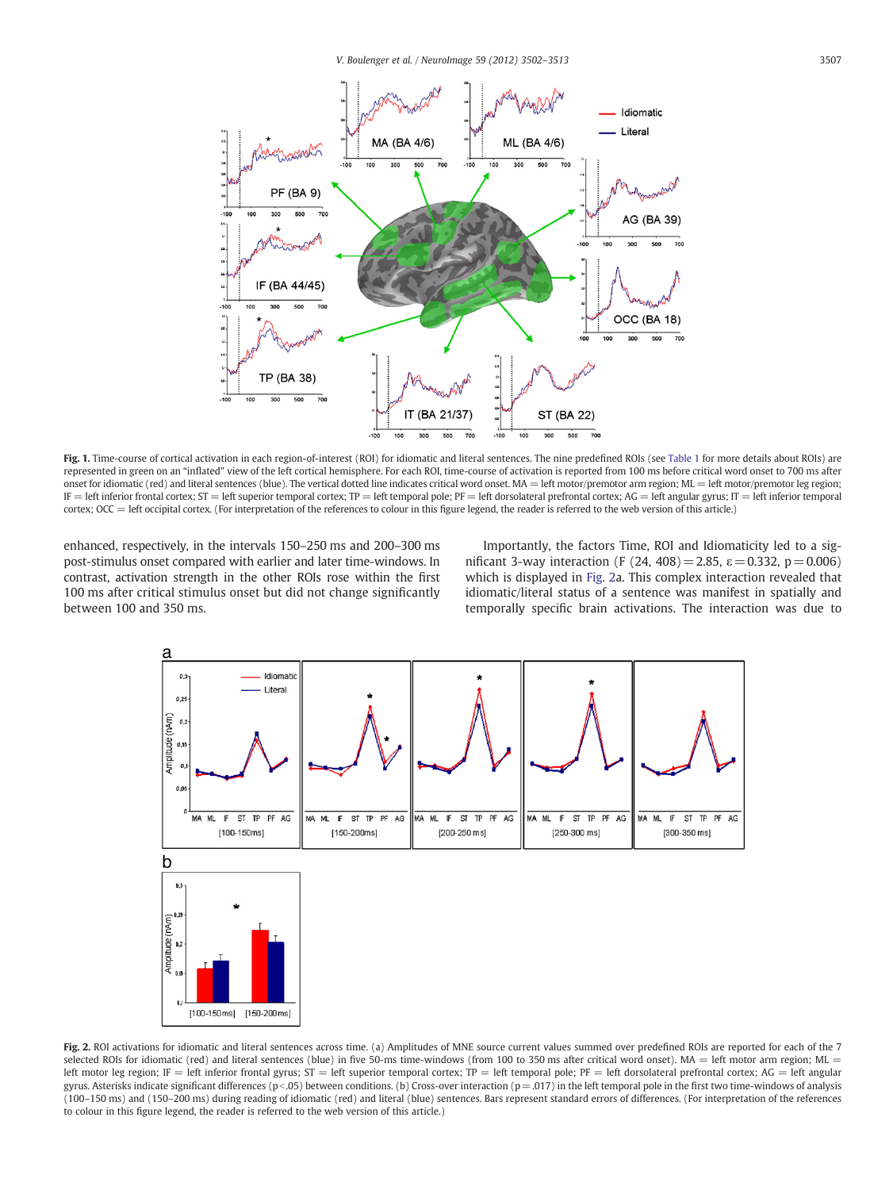<span id="page-5-0"></span>

Fig. 1. Time-course of cortical activation in each region-of-interest (ROI) for idiomatic and literal sentences. The nine predefined ROIs (see [Table 1](#page-3-0) for more details about ROIs) are represented in green on an "inflated" view of the left cortical hemisphere. For each ROI, time-course of activation is reported from 100 ms before critical word onset to 700 ms after onset for idiomatic (red) and literal sentences (blue). The vertical dotted line indicates critical word onset. MA = left motor/premotor arm region; ML = left motor/premotor leg region;  $IF = left$  inferior frontal cortex;  $ST = left$  superior temporal cortex;  $TP = left$  temporal pole;  $PF = left$  dorsolateral prefrontal cortex; AG = left angular gyrus;  $IT = left$  inferior temporal cortex; OCC = left occipital cortex. (For interpretation of the references to colour in this figure legend, the reader is referred to the web version of this article.)

enhanced, respectively, in the intervals 150–250 ms and 200–300 ms post-stimulus onset compared with earlier and later time-windows. In contrast, activation strength in the other ROIs rose within the first 100 ms after critical stimulus onset but did not change significantly between 100 and 350 ms.

Importantly, the factors Time, ROI and Idiomaticity led to a significant 3-way interaction (F (24, 408) = 2.85, ε = 0.332, p = 0.006) which is displayed in Fig. 2a. This complex interaction revealed that idiomatic/literal status of a sentence was manifest in spatially and temporally specific brain activations. The interaction was due to



Fig. 2. ROI activations for idiomatic and literal sentences across time. (a) Amplitudes of MNE source current values summed over predefined ROIs are reported for each of the 7 selected ROIs for idiomatic (red) and literal sentences (blue) in five 50-ms time-windows (from 100 to 350 ms after critical word onset). MA = left motor arm region; ML = left motor leg region; IF = left inferior frontal gyrus; ST = left superior temporal cortex; TP = left temporal pole; PF = left dorsolateral prefrontal cortex; AG = left angular gyrus. Asterisks indicate significant differences ( $p<$  05) between conditions. (b) Cross-over interaction ( $p$  = .017) in the left temporal pole in the first two time-windows of analysis (100–150 ms) and (150–200 ms) during reading of idiomatic (red) and literal (blue) sentences. Bars represent standard errors of differences. (For interpretation of the references to colour in this figure legend, the reader is referred to the web version of this article.)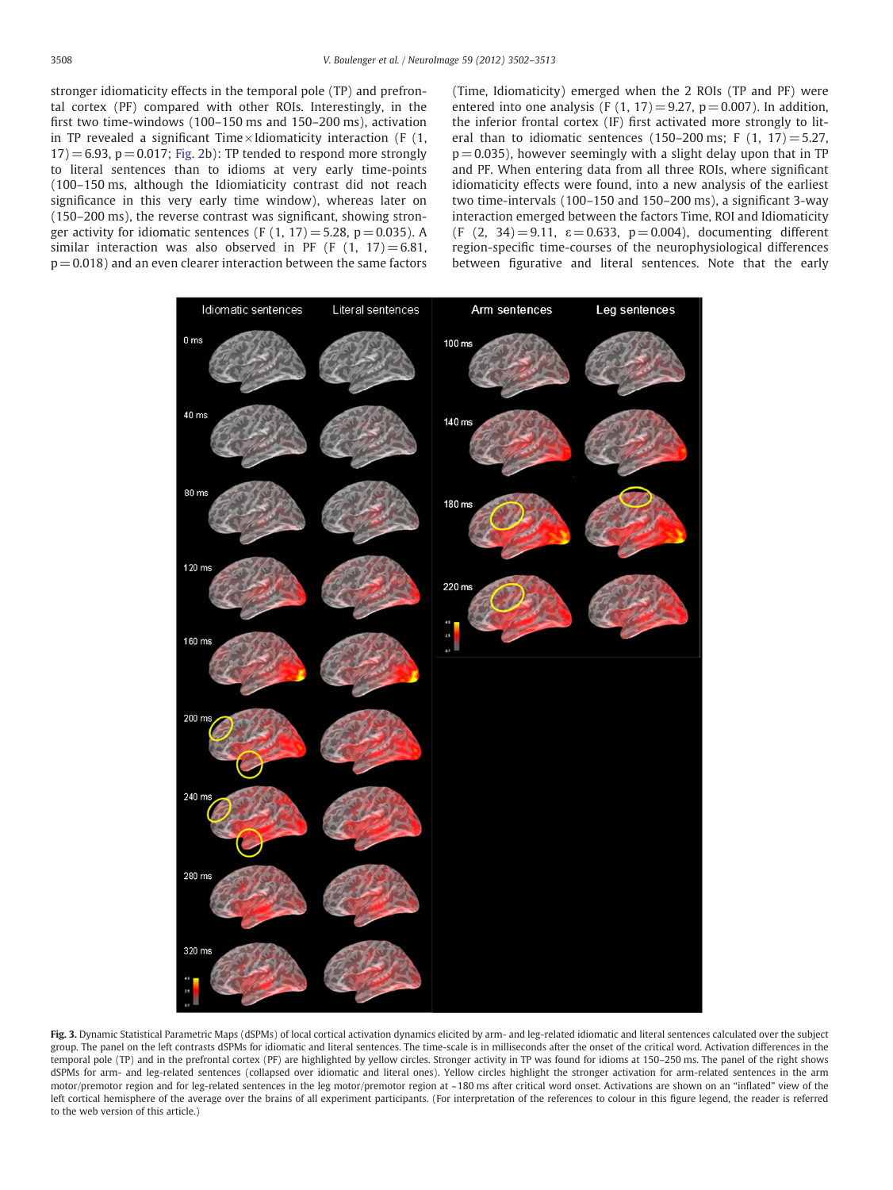<span id="page-6-0"></span>stronger idiomaticity effects in the temporal pole (TP) and prefrontal cortex (PF) compared with other ROIs. Interestingly, in the first two time-windows (100–150 ms and 150–200 ms), activation in TP revealed a significant Time  $\times$  Idiomaticity interaction (F (1,  $17$ ) = 6.93, p = 0.017; [Fig. 2b](#page-5-0)): TP tended to respond more strongly to literal sentences than to idioms at very early time-points (100–150 ms, although the Idiomiaticity contrast did not reach significance in this very early time window), whereas later on (150–200 ms), the reverse contrast was significant, showing stronger activity for idiomatic sentences (F  $(1, 17) = 5.28$ , p = 0.035). A similar interaction was also observed in PF (F  $(1, 17) = 6.81$ ,  $p = 0.018$ ) and an even clearer interaction between the same factors (Time, Idiomaticity) emerged when the 2 ROIs (TP and PF) were entered into one analysis (F  $(1, 17) = 9.27$ , p = 0.007). In addition, the inferior frontal cortex (IF) first activated more strongly to literal than to idiomatic sentences (150–200 ms; F  $(1, 17) = 5.27$ ,  $p= 0.035$ ), however seemingly with a slight delay upon that in TP and PF. When entering data from all three ROIs, where significant idiomaticity effects were found, into a new analysis of the earliest two time-intervals (100–150 and 150–200 ms), a significant 3-way interaction emerged between the factors Time, ROI and Idiomaticity (F  $(2, 34) = 9.11$ ,  $\varepsilon = 0.633$ ,  $p = 0.004$ ), documenting different region-specific time-courses of the neurophysiological differences between figurative and literal sentences. Note that the early



Fig. 3. Dynamic Statistical Parametric Maps (dSPMs) of local cortical activation dynamics elicited by arm- and leg-related idiomatic and literal sentences calculated over the subject group. The panel on the left contrasts dSPMs for idiomatic and literal sentences. The time-scale is in milliseconds after the onset of the critical word. Activation differences in the temporal pole (TP) and in the prefrontal cortex (PF) are highlighted by yellow circles. Stronger activity in TP was found for idioms at 150–250 ms. The panel of the right shows dSPMs for arm- and leg-related sentences (collapsed over idiomatic and literal ones). Yellow circles highlight the stronger activation for arm-related sentences in the arm motor/premotor region and for leg-related sentences in the leg motor/premotor region at ~180 ms after critical word onset. Activations are shown on an "inflated" view of the left cortical hemisphere of the average over the brains of all experiment participants. (For interpretation of the references to colour in this figure legend, the reader is referred to the web version of this article.)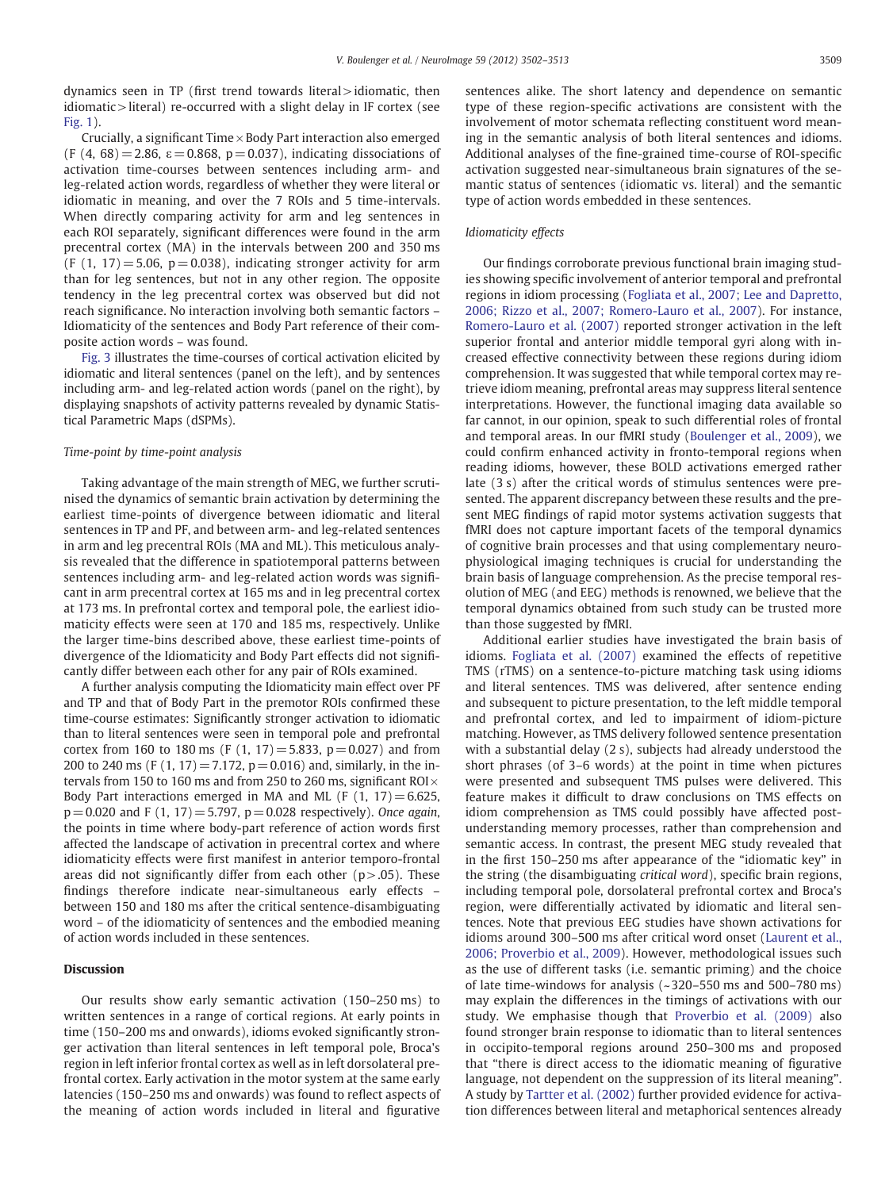dynamics seen in TP (first trend towards literal >idiomatic, then idiomatic > literal) re-occurred with a slight delay in IF cortex (see [Fig. 1](#page-5-0)).

Crucially, a significant  $Time \times Body$  Part interaction also emerged (F (4, 68) = 2.86,  $\varepsilon$  = 0.868, p = 0.037), indicating dissociations of activation time-courses between sentences including arm- and leg-related action words, regardless of whether they were literal or idiomatic in meaning, and over the 7 ROIs and 5 time-intervals. When directly comparing activity for arm and leg sentences in each ROI separately, significant differences were found in the arm precentral cortex (MA) in the intervals between 200 and 350 ms  $(F (1, 17) = 5.06, p = 0.038)$ , indicating stronger activity for arm than for leg sentences, but not in any other region. The opposite tendency in the leg precentral cortex was observed but did not reach significance. No interaction involving both semantic factors – Idiomaticity of the sentences and Body Part reference of their composite action words – was found.

[Fig. 3](#page-6-0) illustrates the time-courses of cortical activation elicited by idiomatic and literal sentences (panel on the left), and by sentences including arm- and leg-related action words (panel on the right), by displaying snapshots of activity patterns revealed by dynamic Statistical Parametric Maps (dSPMs).

# Time-point by time-point analysis

Taking advantage of the main strength of MEG, we further scrutinised the dynamics of semantic brain activation by determining the earliest time-points of divergence between idiomatic and literal sentences in TP and PF, and between arm- and leg-related sentences in arm and leg precentral ROIs (MA and ML). This meticulous analysis revealed that the difference in spatiotemporal patterns between sentences including arm- and leg-related action words was significant in arm precentral cortex at 165 ms and in leg precentral cortex at 173 ms. In prefrontal cortex and temporal pole, the earliest idiomaticity effects were seen at 170 and 185 ms, respectively. Unlike the larger time-bins described above, these earliest time-points of divergence of the Idiomaticity and Body Part effects did not significantly differ between each other for any pair of ROIs examined.

A further analysis computing the Idiomaticity main effect over PF and TP and that of Body Part in the premotor ROIs confirmed these time-course estimates: Significantly stronger activation to idiomatic than to literal sentences were seen in temporal pole and prefrontal cortex from 160 to 180 ms (F  $(1, 17) = 5.833$ ,  $p = 0.027$ ) and from 200 to 240 ms (F  $(1, 17) = 7.172$ ,  $p = 0.016$ ) and, similarly, in the intervals from 150 to 160 ms and from 250 to 260 ms, significant ROI $\times$ Body Part interactions emerged in MA and ML (F  $(1, 17) = 6.625$ ,  $p = 0.020$  and F (1, 17) = 5.797,  $p = 0.028$  respectively). Once again, the points in time where body-part reference of action words first affected the landscape of activation in precentral cortex and where idiomaticity effects were first manifest in anterior temporo-frontal areas did not significantly differ from each other  $(p > .05)$ . These findings therefore indicate near-simultaneous early effects – between 150 and 180 ms after the critical sentence-disambiguating word – of the idiomaticity of sentences and the embodied meaning of action words included in these sentences.

# Discussion

Our results show early semantic activation (150–250 ms) to written sentences in a range of cortical regions. At early points in time (150–200 ms and onwards), idioms evoked significantly stronger activation than literal sentences in left temporal pole, Broca's region in left inferior frontal cortex as well as in left dorsolateral prefrontal cortex. Early activation in the motor system at the same early latencies (150–250 ms and onwards) was found to reflect aspects of the meaning of action words included in literal and figurative

sentences alike. The short latency and dependence on semantic type of these region-specific activations are consistent with the involvement of motor schemata reflecting constituent word meaning in the semantic analysis of both literal sentences and idioms. Additional analyses of the fine-grained time-course of ROI-specific activation suggested near-simultaneous brain signatures of the semantic status of sentences (idiomatic vs. literal) and the semantic type of action words embedded in these sentences.

# Idiomaticity effects

Our findings corroborate previous functional brain imaging studies showing specific involvement of anterior temporal and prefrontal regions in idiom processing ([Fogliata et al., 2007; Lee and Dapretto,](#page-10-0) [2006; Rizzo et al., 2007; Romero-Lauro et al., 2007](#page-10-0)). For instance, [Romero-Lauro et al. \(2007\)](#page-11-0) reported stronger activation in the left superior frontal and anterior middle temporal gyri along with increased effective connectivity between these regions during idiom comprehension. It was suggested that while temporal cortex may retrieve idiom meaning, prefrontal areas may suppress literal sentence interpretations. However, the functional imaging data available so far cannot, in our opinion, speak to such differential roles of frontal and temporal areas. In our fMRI study [\(Boulenger et al., 2009](#page-10-0)), we could confirm enhanced activity in fronto-temporal regions when reading idioms, however, these BOLD activations emerged rather late (3 s) after the critical words of stimulus sentences were presented. The apparent discrepancy between these results and the present MEG findings of rapid motor systems activation suggests that fMRI does not capture important facets of the temporal dynamics of cognitive brain processes and that using complementary neurophysiological imaging techniques is crucial for understanding the brain basis of language comprehension. As the precise temporal resolution of MEG (and EEG) methods is renowned, we believe that the temporal dynamics obtained from such study can be trusted more than those suggested by fMRI.

Additional earlier studies have investigated the brain basis of idioms. [Fogliata et al. \(2007\)](#page-10-0) examined the effects of repetitive TMS (rTMS) on a sentence-to-picture matching task using idioms and literal sentences. TMS was delivered, after sentence ending and subsequent to picture presentation, to the left middle temporal and prefrontal cortex, and led to impairment of idiom-picture matching. However, as TMS delivery followed sentence presentation with a substantial delay (2 s), subjects had already understood the short phrases (of 3–6 words) at the point in time when pictures were presented and subsequent TMS pulses were delivered. This feature makes it difficult to draw conclusions on TMS effects on idiom comprehension as TMS could possibly have affected postunderstanding memory processes, rather than comprehension and semantic access. In contrast, the present MEG study revealed that in the first 150–250 ms after appearance of the "idiomatic key" in the string (the disambiguating critical word), specific brain regions, including temporal pole, dorsolateral prefrontal cortex and Broca's region, were differentially activated by idiomatic and literal sentences. Note that previous EEG studies have shown activations for idioms around 300–500 ms after critical word onset ([Laurent et al.,](#page-10-0) [2006; Proverbio et al., 2009\)](#page-10-0). However, methodological issues such as the use of different tasks (i.e. semantic priming) and the choice of late time-windows for analysis (~320–550 ms and 500–780 ms) may explain the differences in the timings of activations with our study. We emphasise though that [Proverbio et al. \(2009\)](#page-11-0) also found stronger brain response to idiomatic than to literal sentences in occipito-temporal regions around 250–300 ms and proposed that "there is direct access to the idiomatic meaning of figurative language, not dependent on the suppression of its literal meaning". A study by [Tartter et al. \(2002\)](#page-11-0) further provided evidence for activation differences between literal and metaphorical sentences already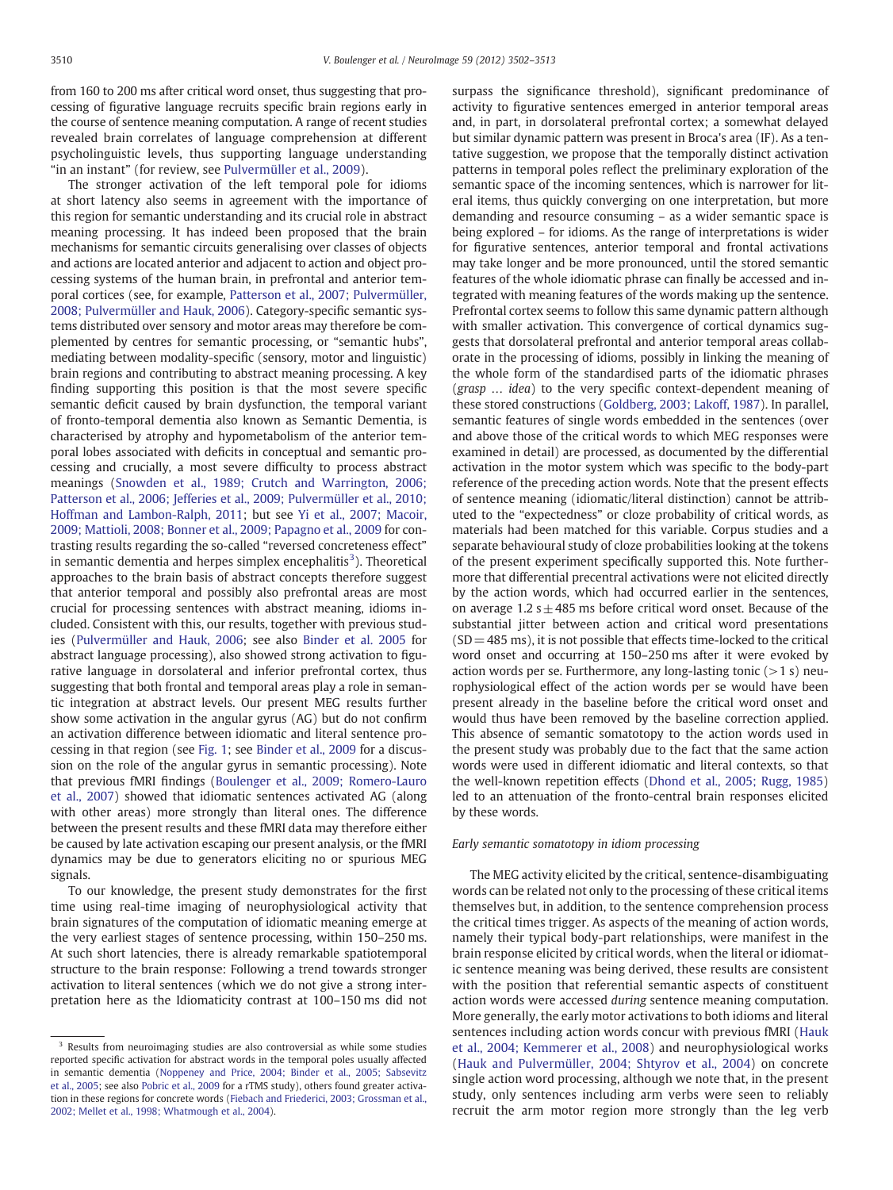from 160 to 200 ms after critical word onset, thus suggesting that processing of figurative language recruits specific brain regions early in the course of sentence meaning computation. A range of recent studies revealed brain correlates of language comprehension at different psycholinguistic levels, thus supporting language understanding "in an instant" (for review, see [Pulvermüller et al., 2009](#page-11-0)).

The stronger activation of the left temporal pole for idioms at short latency also seems in agreement with the importance of this region for semantic understanding and its crucial role in abstract meaning processing. It has indeed been proposed that the brain mechanisms for semantic circuits generalising over classes of objects and actions are located anterior and adjacent to action and object processing systems of the human brain, in prefrontal and anterior temporal cortices (see, for example, [Patterson et al., 2007; Pulvermüller,](#page-11-0) [2008; Pulvermüller and Hauk, 2006](#page-11-0)). Category-specific semantic systems distributed over sensory and motor areas may therefore be complemented by centres for semantic processing, or "semantic hubs", mediating between modality-specific (sensory, motor and linguistic) brain regions and contributing to abstract meaning processing. A key finding supporting this position is that the most severe specific semantic deficit caused by brain dysfunction, the temporal variant of fronto-temporal dementia also known as Semantic Dementia, is characterised by atrophy and hypometabolism of the anterior temporal lobes associated with deficits in conceptual and semantic processing and crucially, a most severe difficulty to process abstract meanings [\(Snowden et al., 1989; Crutch and Warrington, 2006;](#page-11-0) [Patterson et al., 2006; Jefferies et al., 2009; Pulvermüller et al., 2010;](#page-11-0) [Hoffman and Lambon-Ralph, 2011](#page-11-0); but see [Yi et al., 2007; Macoir,](#page-11-0) [2009; Mattioli, 2008; Bonner et al., 2009; Papagno et al., 2009](#page-11-0) for contrasting results regarding the so-called "reversed concreteness effect" in semantic dementia and herpes simplex encephalitis<sup>3</sup>). Theoretical approaches to the brain basis of abstract concepts therefore suggest that anterior temporal and possibly also prefrontal areas are most crucial for processing sentences with abstract meaning, idioms included. Consistent with this, our results, together with previous studies ([Pulvermüller and Hauk, 2006](#page-11-0); see also [Binder et al. 2005](#page-10-0) for abstract language processing), also showed strong activation to figurative language in dorsolateral and inferior prefrontal cortex, thus suggesting that both frontal and temporal areas play a role in semantic integration at abstract levels. Our present MEG results further show some activation in the angular gyrus (AG) but do not confirm an activation difference between idiomatic and literal sentence processing in that region (see [Fig. 1;](#page-5-0) see [Binder et al., 2009](#page-10-0) for a discussion on the role of the angular gyrus in semantic processing). Note that previous fMRI findings ([Boulenger et al., 2009; Romero-Lauro](#page-10-0) [et al., 2007](#page-10-0)) showed that idiomatic sentences activated AG (along with other areas) more strongly than literal ones. The difference between the present results and these fMRI data may therefore either be caused by late activation escaping our present analysis, or the fMRI dynamics may be due to generators eliciting no or spurious MEG signals.

To our knowledge, the present study demonstrates for the first time using real-time imaging of neurophysiological activity that brain signatures of the computation of idiomatic meaning emerge at the very earliest stages of sentence processing, within 150–250 ms. At such short latencies, there is already remarkable spatiotemporal structure to the brain response: Following a trend towards stronger activation to literal sentences (which we do not give a strong interpretation here as the Idiomaticity contrast at 100–150 ms did not surpass the significance threshold), significant predominance of activity to figurative sentences emerged in anterior temporal areas and, in part, in dorsolateral prefrontal cortex; a somewhat delayed but similar dynamic pattern was present in Broca's area (IF). As a tentative suggestion, we propose that the temporally distinct activation patterns in temporal poles reflect the preliminary exploration of the semantic space of the incoming sentences, which is narrower for literal items, thus quickly converging on one interpretation, but more demanding and resource consuming – as a wider semantic space is being explored – for idioms. As the range of interpretations is wider for figurative sentences, anterior temporal and frontal activations may take longer and be more pronounced, until the stored semantic features of the whole idiomatic phrase can finally be accessed and integrated with meaning features of the words making up the sentence. Prefrontal cortex seems to follow this same dynamic pattern although with smaller activation. This convergence of cortical dynamics suggests that dorsolateral prefrontal and anterior temporal areas collaborate in the processing of idioms, possibly in linking the meaning of the whole form of the standardised parts of the idiomatic phrases (grasp … idea) to the very specific context-dependent meaning of these stored constructions ([Goldberg, 2003; Lakoff, 1987](#page-10-0)). In parallel, semantic features of single words embedded in the sentences (over and above those of the critical words to which MEG responses were examined in detail) are processed, as documented by the differential activation in the motor system which was specific to the body-part reference of the preceding action words. Note that the present effects of sentence meaning (idiomatic/literal distinction) cannot be attributed to the "expectedness" or cloze probability of critical words, as materials had been matched for this variable. Corpus studies and a separate behavioural study of cloze probabilities looking at the tokens of the present experiment specifically supported this. Note furthermore that differential precentral activations were not elicited directly by the action words, which had occurred earlier in the sentences, on average 1.2 s  $\pm$  485 ms before critical word onset. Because of the substantial jitter between action and critical word presentations  $(SD = 485 \text{ ms})$ , it is not possible that effects time-locked to the critical word onset and occurring at 150–250 ms after it were evoked by action words per se. Furthermore, any long-lasting tonic  $(>1 \text{ s})$  neurophysiological effect of the action words per se would have been present already in the baseline before the critical word onset and would thus have been removed by the baseline correction applied. This absence of semantic somatotopy to the action words used in the present study was probably due to the fact that the same action words were used in different idiomatic and literal contexts, so that the well-known repetition effects [\(Dhond et al., 2005; Rugg, 1985](#page-10-0)) led to an attenuation of the fronto-central brain responses elicited by these words.

## Early semantic somatotopy in idiom processing

The MEG activity elicited by the critical, sentence-disambiguating words can be related not only to the processing of these critical items themselves but, in addition, to the sentence comprehension process the critical times trigger. As aspects of the meaning of action words, namely their typical body-part relationships, were manifest in the brain response elicited by critical words, when the literal or idiomatic sentence meaning was being derived, these results are consistent with the position that referential semantic aspects of constituent action words were accessed during sentence meaning computation. More generally, the early motor activations to both idioms and literal sentences including action words concur with previous fMRI [\(Hauk](#page-10-0) [et al., 2004; Kemmerer et al., 2008](#page-10-0)) and neurophysiological works [\(Hauk and Pulvermüller, 2004; Shtyrov et al., 2004\)](#page-10-0) on concrete single action word processing, although we note that, in the present study, only sentences including arm verbs were seen to reliably recruit the arm motor region more strongly than the leg verb

<sup>&</sup>lt;sup>3</sup> Results from neuroimaging studies are also controversial as while some studies reported specific activation for abstract words in the temporal poles usually affected in semantic dementia ([Noppeney and Price, 2004; Binder et al., 2005; Sabsevitz](#page-10-0) [et al., 2005;](#page-10-0) see also [Pobric et al., 2009](#page-11-0) for a rTMS study), others found greater activation in these regions for concrete words ([Fiebach and Friederici, 2003; Grossman et al.,](#page-10-0) [2002; Mellet et al., 1998; Whatmough et al., 2004\)](#page-10-0).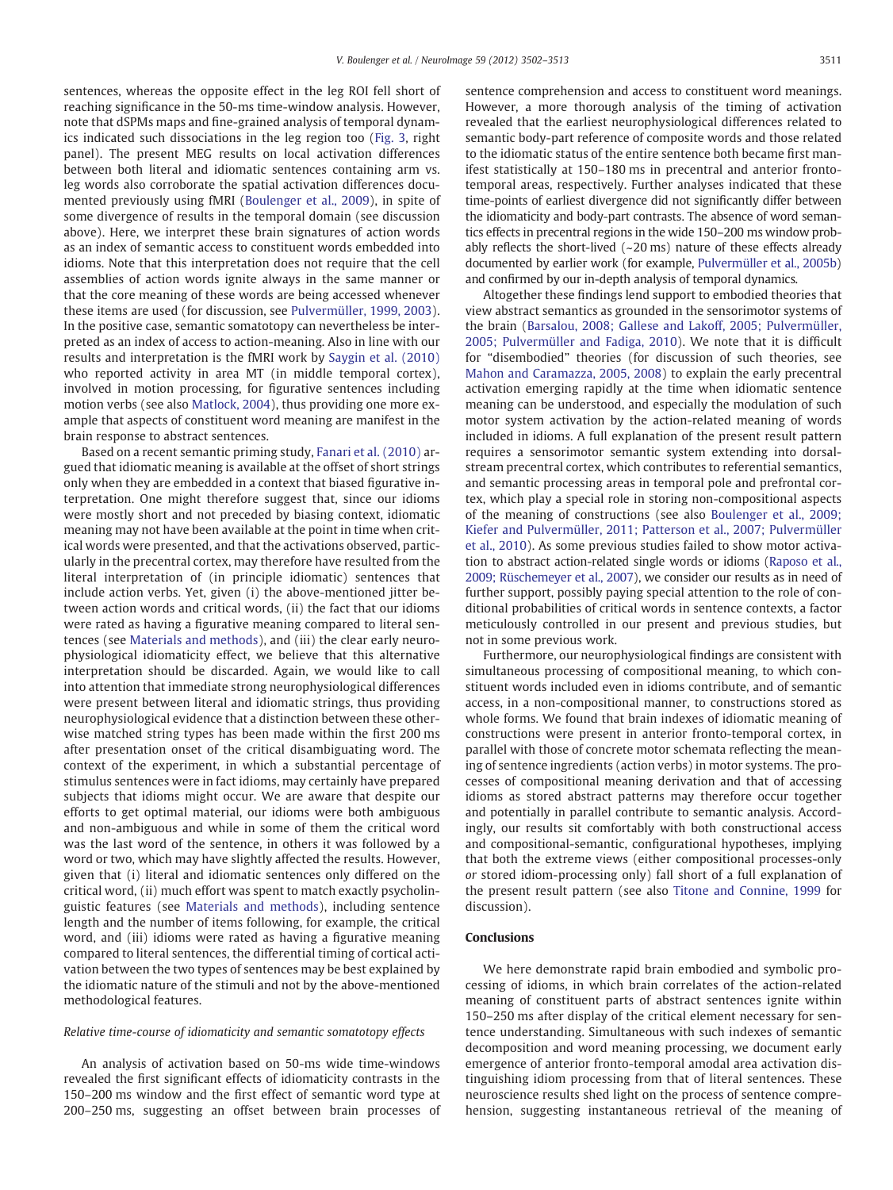sentences, whereas the opposite effect in the leg ROI fell short of reaching significance in the 50-ms time-window analysis. However, note that dSPMs maps and fine-grained analysis of temporal dynamics indicated such dissociations in the leg region too ([Fig. 3,](#page-6-0) right panel). The present MEG results on local activation differences between both literal and idiomatic sentences containing arm vs. leg words also corroborate the spatial activation differences documented previously using fMRI ([Boulenger et al., 2009\)](#page-10-0), in spite of some divergence of results in the temporal domain (see discussion above). Here, we interpret these brain signatures of action words as an index of semantic access to constituent words embedded into idioms. Note that this interpretation does not require that the cell assemblies of action words ignite always in the same manner or that the core meaning of these words are being accessed whenever these items are used (for discussion, see [Pulvermüller, 1999, 2003](#page-11-0)). In the positive case, semantic somatotopy can nevertheless be interpreted as an index of access to action-meaning. Also in line with our results and interpretation is the fMRI work by [Saygin et al. \(2010\)](#page-11-0) who reported activity in area MT (in middle temporal cortex), involved in motion processing, for figurative sentences including motion verbs (see also [Matlock, 2004](#page-10-0)), thus providing one more example that aspects of constituent word meaning are manifest in the brain response to abstract sentences.

Based on a recent semantic priming study, [Fanari et al. \(2010\)](#page-10-0) argued that idiomatic meaning is available at the offset of short strings only when they are embedded in a context that biased figurative interpretation. One might therefore suggest that, since our idioms were mostly short and not preceded by biasing context, idiomatic meaning may not have been available at the point in time when critical words were presented, and that the activations observed, particularly in the precentral cortex, may therefore have resulted from the literal interpretation of (in principle idiomatic) sentences that include action verbs. Yet, given (i) the above-mentioned jitter between action words and critical words, (ii) the fact that our idioms were rated as having a figurative meaning compared to literal sentences (see [Materials and methods](#page-2-0)), and (iii) the clear early neurophysiological idiomaticity effect, we believe that this alternative interpretation should be discarded. Again, we would like to call into attention that immediate strong neurophysiological differences were present between literal and idiomatic strings, thus providing neurophysiological evidence that a distinction between these otherwise matched string types has been made within the first 200 ms after presentation onset of the critical disambiguating word. The context of the experiment, in which a substantial percentage of stimulus sentences were in fact idioms, may certainly have prepared subjects that idioms might occur. We are aware that despite our efforts to get optimal material, our idioms were both ambiguous and non-ambiguous and while in some of them the critical word was the last word of the sentence, in others it was followed by a word or two, which may have slightly affected the results. However, given that (i) literal and idiomatic sentences only differed on the critical word, (ii) much effort was spent to match exactly psycholinguistic features (see [Materials and methods\)](#page-2-0), including sentence length and the number of items following, for example, the critical word, and (iii) idioms were rated as having a figurative meaning compared to literal sentences, the differential timing of cortical activation between the two types of sentences may be best explained by the idiomatic nature of the stimuli and not by the above-mentioned methodological features.

# Relative time-course of idiomaticity and semantic somatotopy effects

An analysis of activation based on 50-ms wide time-windows revealed the first significant effects of idiomaticity contrasts in the 150–200 ms window and the first effect of semantic word type at 200–250 ms, suggesting an offset between brain processes of sentence comprehension and access to constituent word meanings. However, a more thorough analysis of the timing of activation revealed that the earliest neurophysiological differences related to semantic body-part reference of composite words and those related to the idiomatic status of the entire sentence both became first manifest statistically at 150–180 ms in precentral and anterior frontotemporal areas, respectively. Further analyses indicated that these time-points of earliest divergence did not significantly differ between the idiomaticity and body-part contrasts. The absence of word semantics effects in precentral regions in the wide 150–200 ms window probably reflects the short-lived  $(-20 \text{ ms})$  nature of these effects already documented by earlier work (for example, [Pulvermüller et al., 2005b](#page-11-0)) and confirmed by our in-depth analysis of temporal dynamics.

Altogether these findings lend support to embodied theories that view abstract semantics as grounded in the sensorimotor systems of the brain ([Barsalou, 2008; Gallese and Lakoff, 2005; Pulvermüller,](#page-10-0) [2005; Pulvermüller and Fadiga, 2010\)](#page-10-0). We note that it is difficult for "disembodied" theories (for discussion of such theories, see [Mahon and Caramazza, 2005, 2008\)](#page-10-0) to explain the early precentral activation emerging rapidly at the time when idiomatic sentence meaning can be understood, and especially the modulation of such motor system activation by the action-related meaning of words included in idioms. A full explanation of the present result pattern requires a sensorimotor semantic system extending into dorsalstream precentral cortex, which contributes to referential semantics, and semantic processing areas in temporal pole and prefrontal cortex, which play a special role in storing non-compositional aspects of the meaning of constructions (see also [Boulenger et al., 2009;](#page-10-0) [Kiefer and Pulvermüller, 2011; Patterson et al., 2007; Pulvermüller](#page-10-0) [et al., 2010](#page-10-0)). As some previous studies failed to show motor activation to abstract action-related single words or idioms [\(Raposo et al.,](#page-11-0) [2009; Rüschemeyer et al., 2007\)](#page-11-0), we consider our results as in need of further support, possibly paying special attention to the role of conditional probabilities of critical words in sentence contexts, a factor meticulously controlled in our present and previous studies, but not in some previous work.

Furthermore, our neurophysiological findings are consistent with simultaneous processing of compositional meaning, to which constituent words included even in idioms contribute, and of semantic access, in a non-compositional manner, to constructions stored as whole forms. We found that brain indexes of idiomatic meaning of constructions were present in anterior fronto-temporal cortex, in parallel with those of concrete motor schemata reflecting the meaning of sentence ingredients (action verbs) in motor systems. The processes of compositional meaning derivation and that of accessing idioms as stored abstract patterns may therefore occur together and potentially in parallel contribute to semantic analysis. Accordingly, our results sit comfortably with both constructional access and compositional-semantic, configurational hypotheses, implying that both the extreme views (either compositional processes-only or stored idiom-processing only) fall short of a full explanation of the present result pattern (see also [Titone and Connine, 1999](#page-11-0) for discussion).

# Conclusions

We here demonstrate rapid brain embodied and symbolic processing of idioms, in which brain correlates of the action-related meaning of constituent parts of abstract sentences ignite within 150–250 ms after display of the critical element necessary for sentence understanding. Simultaneous with such indexes of semantic decomposition and word meaning processing, we document early emergence of anterior fronto-temporal amodal area activation distinguishing idiom processing from that of literal sentences. These neuroscience results shed light on the process of sentence comprehension, suggesting instantaneous retrieval of the meaning of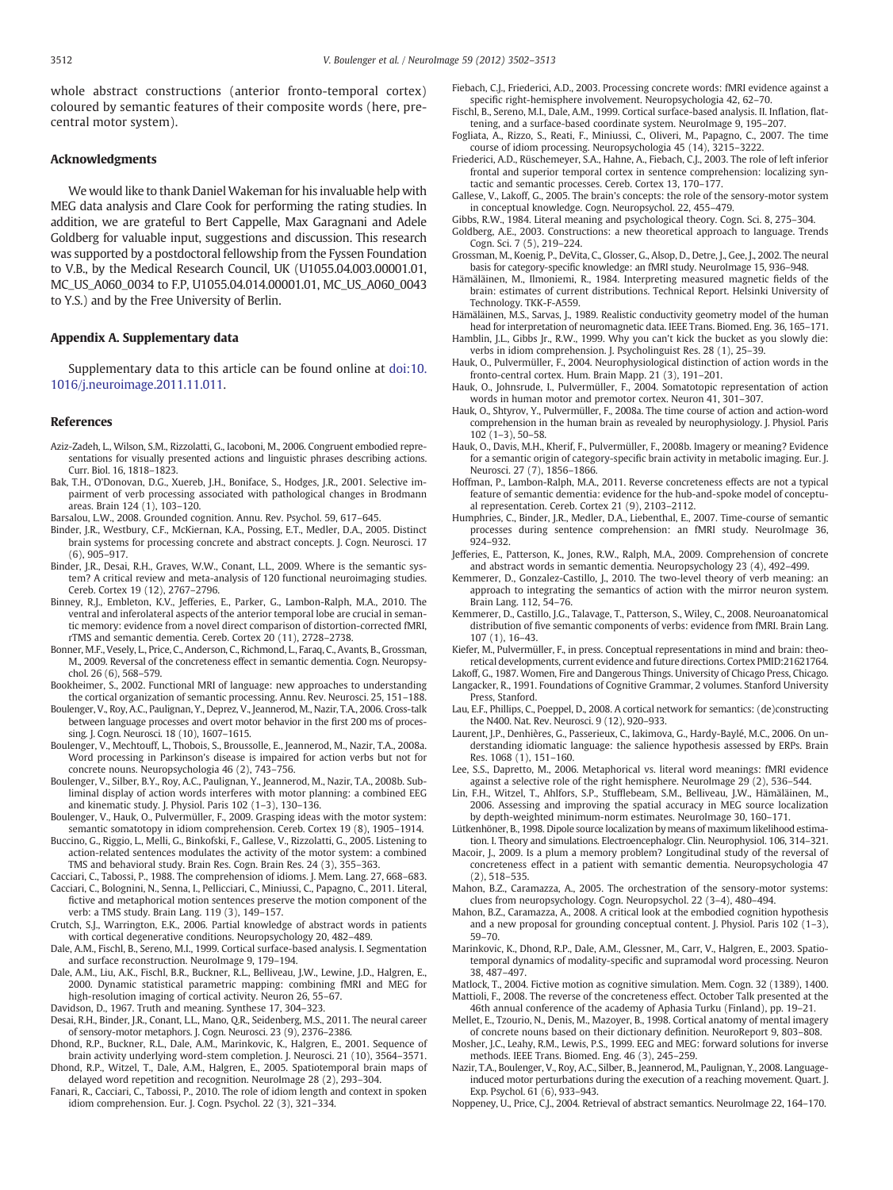<span id="page-10-0"></span>whole abstract constructions (anterior fronto-temporal cortex) coloured by semantic features of their composite words (here, precentral motor system).

# Acknowledgments

We would like to thank Daniel Wakeman for his invaluable help with MEG data analysis and Clare Cook for performing the rating studies. In addition, we are grateful to Bert Cappelle, Max Garagnani and Adele Goldberg for valuable input, suggestions and discussion. This research was supported by a postdoctoral fellowship from the Fyssen Foundation to V.B., by the Medical Research Council, UK (U1055.04.003.00001.01, MC\_US\_A060\_0034 to F.P, U1055.04.014.00001.01, MC\_US\_A060\_0043 to Y.S.) and by the Free University of Berlin.

# Appendix A. Supplementary data

Supplementary data to this article can be found online at doi:10. 1016/j.neuroimage.2011.11.011.

## References

- Aziz-Zadeh, L., Wilson, S.M., Rizzolatti, G., Iacoboni, M., 2006. Congruent embodied representations for visually presented actions and linguistic phrases describing actions. Curr. Biol. 16, 1818–1823.
- Bak, T.H., O'Donovan, D.G., Xuereb, J.H., Boniface, S., Hodges, J.R., 2001. Selective impairment of verb processing associated with pathological changes in Brodmann areas. Brain 124 (1), 103–120.
- Barsalou, L.W., 2008. Grounded cognition. Annu. Rev. Psychol. 59, 617–645.
- Binder, J.R., Westbury, C.F., McKiernan, K.A., Possing, E.T., Medler, D.A., 2005. Distinct brain systems for processing concrete and abstract concepts. J. Cogn. Neurosci. 17 (6), 905–917.
- Binder, J.R., Desai, R.H., Graves, W.W., Conant, L.L., 2009. Where is the semantic system? A critical review and meta-analysis of 120 functional neuroimaging studies. Cereb. Cortex 19 (12), 2767–2796.
- Binney, R.J., Embleton, K.V., Jefferies, E., Parker, G., Lambon-Ralph, M.A., 2010. The ventral and inferolateral aspects of the anterior temporal lobe are crucial in semantic memory: evidence from a novel direct comparison of distortion-corrected fMRI, rTMS and semantic dementia. Cereb. Cortex 20 (11), 2728–2738.
- Bonner, M.F., Vesely, L., Price, C., Anderson, C., Richmond, L., Faraq, C., Avants, B., Grossman, M., 2009. Reversal of the concreteness effect in semantic dementia. Cogn. Neuropsychol. 26 (6), 568–579.
- Bookheimer, S., 2002. Functional MRI of language: new approaches to understanding the cortical organization of semantic processing. Annu. Rev. Neurosci. 25, 151–188.
- Boulenger, V., Roy, A.C., Paulignan, Y., Deprez, V., Jeannerod, M., Nazir, T.A., 2006. Cross-talk between language processes and overt motor behavior in the first 200 ms of processing. J. Cogn. Neurosci. 18 (10), 1607–1615.
- Boulenger, V., Mechtouff, L., Thobois, S., Broussolle, E., Jeannerod, M., Nazir, T.A., 2008a. Word processing in Parkinson's disease is impaired for action verbs but not for concrete nouns. Neuropsychologia 46 (2), 743–756.
- Boulenger, V., Silber, B.Y., Roy, A.C., Paulignan, Y., Jeannerod, M., Nazir, T.A., 2008b. Subliminal display of action words interferes with motor planning: a combined EEG and kinematic study. J. Physiol. Paris 102 (1–3), 130–136.
- Boulenger, V., Hauk, O., Pulvermüller, F., 2009. Grasping ideas with the motor system: semantic somatotopy in idiom comprehension. Cereb. Cortex 19 (8), 1905–1914.
- Buccino, G., Riggio, L., Melli, G., Binkofski, F., Gallese, V., Rizzolatti, G., 2005. Listening to action-related sentences modulates the activity of the motor system: a combined TMS and behavioral study. Brain Res. Cogn. Brain Res. 24 (3), 355–363.
- Cacciari, C., Tabossi, P., 1988. The comprehension of idioms. J. Mem. Lang. 27, 668–683.
- Cacciari, C., Bolognini, N., Senna, I., Pellicciari, C., Miniussi, C., Papagno, C., 2011. Literal, fictive and metaphorical motion sentences preserve the motion component of the verb: a TMS study. Brain Lang. 119 (3), 149–157.
- Crutch, S.J., Warrington, E.K., 2006. Partial knowledge of abstract words in patients with cortical degenerative conditions. Neuropsychology 20, 482–489.
- Dale, A.M., Fischl, B., Sereno, M.I., 1999. Cortical surface-based analysis. I. Segmentation and surface reconstruction. NeuroImage 9, 179–194.
- Dale, A.M., Liu, A.K., Fischl, B.R., Buckner, R.L., Belliveau, J.W., Lewine, J.D., Halgren, E., 2000. Dynamic statistical parametric mapping: combining fMRI and MEG for high-resolution imaging of cortical activity. Neuron 26, 55–67.
- Davidson, D., 1967. Truth and meaning. Synthese 17, 304–323.
- Desai, R.H., Binder, J.R., Conant, L.L., Mano, Q.R., Seidenberg, M.S., 2011. The neural career
- of sensory-motor metaphors. J. Cogn. Neurosci. 23 (9), 2376–2386. Dhond, R.P., Buckner, R.L., Dale, A.M., Marinkovic, K., Halgren, E., 2001. Sequence of brain activity underlying word-stem completion. J. Neurosci. 21 (10), 3564–3571.
- Dhond, R.P., Witzel, T., Dale, A.M., Halgren, E., 2005. Spatiotemporal brain maps of delayed word repetition and recognition. NeuroImage 28 (2), 293–304.
- Fanari, R., Cacciari, C., Tabossi, P., 2010. The role of idiom length and context in spoken idiom comprehension. Eur. J. Cogn. Psychol. 22 (3), 321–334.
- Fiebach, C.J., Friederici, A.D., 2003. Processing concrete words: fMRI evidence against a specific right-hemisphere involvement. Neuropsychologia 42, 62–70.
- Fischl, B., Sereno, M.I., Dale, A.M., 1999. Cortical surface-based analysis. II. Inflation, flattening, and a surface-based coordinate system. NeuroImage 9, 195–207.
- Fogliata, A., Rizzo, S., Reati, F., Miniussi, C., Oliveri, M., Papagno, C., 2007. The time course of idiom processing. Neuropsychologia 45 (14), 3215–3222.
- Friederici, A.D., Rüschemeyer, S.A., Hahne, A., Fiebach, C.J., 2003. The role of left inferior frontal and superior temporal cortex in sentence comprehension: localizing syntactic and semantic processes. Cereb. Cortex 13, 170–177.
- Gallese, V., Lakoff, G., 2005. The brain's concepts: the role of the sensory-motor system in conceptual knowledge. Cogn. Neuropsychol. 22, 455–479.
- Gibbs, R.W., 1984. Literal meaning and psychological theory. Cogn. Sci. 8, 275–304. Goldberg, A.E., 2003. Constructions: a new theoretical approach to language. Trends Cogn. Sci. 7 (5), 219–224.
- Grossman, M., Koenig, P., DeVita, C., Glosser, G., Alsop, D., Detre, J., Gee, J., 2002. The neural basis for category-specific knowledge: an fMRI study. NeuroImage 15, 936–948.
- Hämäläinen, M., Ilmoniemi, R., 1984. Interpreting measured magnetic fields of the brain: estimates of current distributions. Technical Report. Helsinki University of Technology. TKK-F-A559.
- Hämäläinen, M.S., Sarvas, J., 1989. Realistic conductivity geometry model of the human head for interpretation of neuromagnetic data. IEEE Trans. Biomed. Eng. 36, 165–171.
- Hamblin, J.L., Gibbs Jr., R.W., 1999. Why you can't kick the bucket as you slowly die: verbs in idiom comprehension. J. Psycholinguist Res. 28 (1), 25–39.
- Hauk, O., Pulvermüller, F., 2004. Neurophysiological distinction of action words in the fronto-central cortex. Hum. Brain Mapp. 21 (3), 191–201.
- Hauk, O., Johnsrude, I., Pulvermüller, F., 2004. Somatotopic representation of action words in human motor and premotor cortex. Neuron 41, 301–307.
- Hauk, O., Shtyrov, Y., Pulvermüller, F., 2008a. The time course of action and action-word comprehension in the human brain as revealed by neurophysiology. J. Physiol. Paris 102 (1–3), 50–58.
- Hauk, O., Davis, M.H., Kherif, F., Pulvermüller, F., 2008b. Imagery or meaning? Evidence for a semantic origin of category-specific brain activity in metabolic imaging. Eur. J. Neurosci. 27 (7), 1856–1866.
- Hoffman, P., Lambon-Ralph, M.A., 2011. Reverse concreteness effects are not a typical feature of semantic dementia: evidence for the hub-and-spoke model of conceptual representation. Cereb. Cortex 21 (9), 2103–2112.
- Humphries, C., Binder, J.R., Medler, D.A., Liebenthal, E., 2007. Time-course of semantic processes during sentence comprehension: an fMRI study. NeuroImage 36, 924–932.
- Jefferies, E., Patterson, K., Jones, R.W., Ralph, M.A., 2009. Comprehension of concrete and abstract words in semantic dementia. Neuropsychology 23 (4), 492–499.
- Kemmerer, D., Gonzalez-Castillo, J., 2010. The two-level theory of verb meaning: an approach to integrating the semantics of action with the mirror neuron system. Brain Lang. 112, 54–76.
- Kemmerer, D., Castillo, J.G., Talavage, T., Patterson, S., Wiley, C., 2008. Neuroanatomical distribution of five semantic components of verbs: evidence from fMRI. Brain Lang. 107 (1), 16–43.
- Kiefer, M., Pulvermüller, F., in press. Conceptual representations in mind and brain: theoretical developments, current evidence and future directions. Cortex PMID:21621764.
- Lakoff, G., 1987. Women, Fire and Dangerous Things. University of Chicago Press, Chicago. Langacker, R., 1991. Foundations of Cognitive Grammar, 2 volumes. Stanford University
- Press, Stanford. Lau, E.F., Phillips, C., Poeppel, D., 2008. A cortical network for semantics: (de)constructing the N400. Nat. Rev. Neurosci. 9 (12), 920–933.
- Laurent, J.P., Denhières, G., Passerieux, C., Iakimova, G., Hardy-Baylé, M.C., 2006. On understanding idiomatic language: the salience hypothesis assessed by ERPs. Brain Res. 1068 (1), 151–160.
- Lee, S.S., Dapretto, M., 2006. Metaphorical vs. literal word meanings: fMRI evidence against a selective role of the right hemisphere. NeuroImage 29 (2), 536–544.
- Lin, F.H., Witzel, T., Ahlfors, S.P., Stufflebeam, S.M., Belliveau, J.W., Hämäläinen, M., 2006. Assessing and improving the spatial accuracy in MEG source localization by depth-weighted minimum-norm estimates. NeuroImage 30, 160–171.
- Lütkenhöner, B., 1998. Dipole source localization by means of maximum likelihood estimation. I. Theory and simulations. Electroencephalogr. Clin. Neurophysiol. 106, 314–321.
- Macoir, J., 2009. Is a plum a memory problem? Longitudinal study of the reversal of concreteness effect in a patient with semantic dementia. Neuropsychologia 47 (2), 518–535.
- Mahon, B.Z., Caramazza, A., 2005. The orchestration of the sensory-motor systems: clues from neuropsychology. Cogn. Neuropsychol. 22 (3–4), 480–494.
- Mahon, B.Z., Caramazza, A., 2008. A critical look at the embodied cognition hypothesis and a new proposal for grounding conceptual content. J. Physiol. Paris 102 (1–3), 59–70.
- Marinkovic, K., Dhond, R.P., Dale, A.M., Glessner, M., Carr, V., Halgren, E., 2003. Spatiotemporal dynamics of modality-specific and supramodal word processing. Neuron 38, 487–497.
- Matlock, T., 2004. Fictive motion as cognitive simulation. Mem. Cogn. 32 (1389), 1400. Mattioli, F., 2008. The reverse of the concreteness effect. October Talk presented at the
- 46th annual conference of the academy of Aphasia Turku (Finland), pp. 19–21. Mellet, E., Tzourio, N., Denis, M., Mazoyer, B., 1998. Cortical anatomy of mental imagery
- of concrete nouns based on their dictionary definition. NeuroReport 9, 803–808. Mosher, J.C., Leahy, R.M., Lewis, P.S., 1999. EEG and MEG: forward solutions for inverse
- methods. IEEE Trans. Biomed. Eng. 46 (3), 245–259.
- Nazir, T.A., Boulenger, V., Roy, A.C., Silber, B., Jeannerod, M., Paulignan, Y., 2008. Languageinduced motor perturbations during the execution of a reaching movement. Quart. J. Exp. Psychol. 61 (6), 933–943.
- Noppeney, U., Price, C.J., 2004. Retrieval of abstract semantics. NeuroImage 22, 164–170.